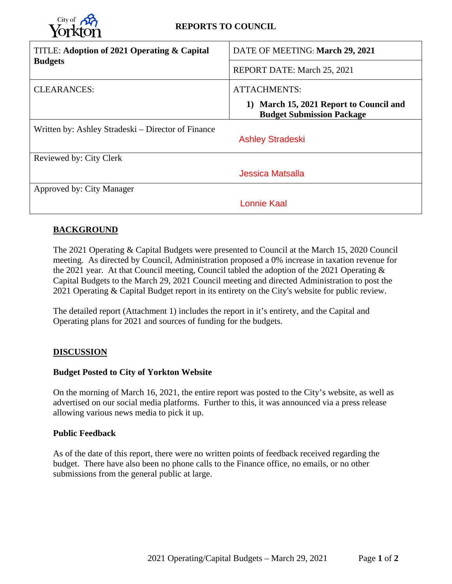| <b>Yorkton</b>                                     | <b>REPORTS TO COUNCIL</b>                                                   |
|----------------------------------------------------|-----------------------------------------------------------------------------|
| TITLE: Adoption of 2021 Operating & Capital        | DATE OF MEETING: March 29, 2021                                             |
| <b>Budgets</b>                                     | REPORT DATE: March 25, 2021                                                 |
| <b>CLEARANCES:</b>                                 | <b>ATTACHMENTS:</b>                                                         |
|                                                    | 1) March 15, 2021 Report to Council and<br><b>Budget Submission Package</b> |
| Written by: Ashley Stradeski – Director of Finance | <b>Ashley Stradeski</b>                                                     |
| Reviewed by: City Clerk                            |                                                                             |
|                                                    | Jessica Matsalla                                                            |
| Approved by: City Manager                          |                                                                             |
|                                                    | <b>Lonnie Kaal</b>                                                          |

#### **BACKGROUND**

City of  $\mathcal{B}$ 

The 2021 Operating & Capital Budgets were presented to Council at the March 15, 2020 Council meeting. As directed by Council, Administration proposed a 0% increase in taxation revenue for the 2021 year. At that Council meeting, Council tabled the adoption of the 2021 Operating & Capital Budgets to the March 29, 2021 Council meeting and directed Administration to post the 2021 Operating & Capital Budget report in its entirety on the City's website for public review.

The detailed report (Attachment 1) includes the report in it's entirety, and the Capital and Operating plans for 2021 and sources of funding for the budgets.

#### **DISCUSSION**

#### **Budget Posted to City of Yorkton Website**

On the morning of March 16, 2021, the entire report was posted to the City's website, as well as advertised on our social media platforms. Further to this, it was announced via a press release allowing various news media to pick it up.

#### **Public Feedback**

As of the date of this report, there were no written points of feedback received regarding the budget. There have also been no phone calls to the Finance office, no emails, or no other submissions from the general public at large.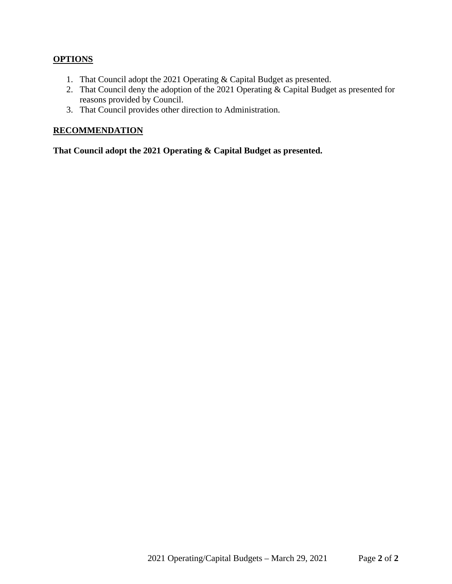### **OPTIONS**

- 1. That Council adopt the 2021 Operating & Capital Budget as presented.
- 2. That Council deny the adoption of the 2021 Operating & Capital Budget as presented for reasons provided by Council.
- 3. That Council provides other direction to Administration.

#### **RECOMMENDATION**

**That Council adopt the 2021 Operating & Capital Budget as presented.**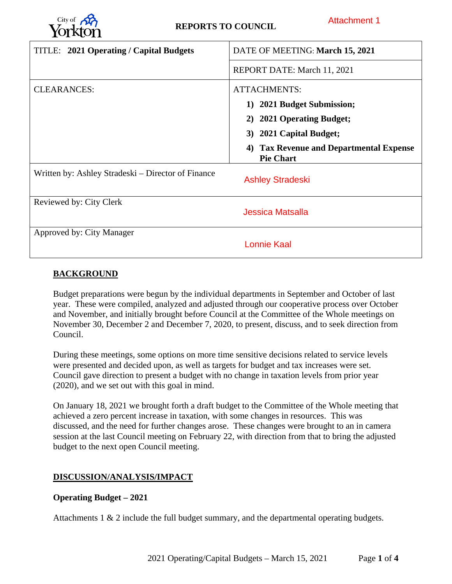

| City of $\mathcal{R}$<br><b>REPORTS TO COUNCIL</b> | <b>Attachment 1</b>                                                   |
|----------------------------------------------------|-----------------------------------------------------------------------|
| TITLE: 2021 Operating / Capital Budgets            | DATE OF MEETING: March 15, 2021                                       |
|                                                    | REPORT DATE: March 11, 2021                                           |
| <b>CLEARANCES:</b>                                 | <b>ATTACHMENTS:</b>                                                   |
|                                                    | 1) 2021 Budget Submission;                                            |
|                                                    | 2) 2021 Operating Budget;                                             |
|                                                    | 3) 2021 Capital Budget;                                               |
|                                                    | <b>Tax Revenue and Departmental Expense</b><br>4)<br><b>Pie Chart</b> |
| Written by: Ashley Stradeski – Director of Finance | <b>Ashley Stradeski</b>                                               |
| Reviewed by: City Clerk                            | <b>Jessica Matsalla</b>                                               |
| Approved by: City Manager                          | <b>Lonnie Kaal</b>                                                    |

## **BACKGROUND**

Budget preparations were begun by the individual departments in September and October of last year. These were compiled, analyzed and adjusted through our cooperative process over October and November, and initially brought before Council at the Committee of the Whole meetings on November 30, December 2 and December 7, 2020, to present, discuss, and to seek direction from Council.

During these meetings, some options on more time sensitive decisions related to service levels were presented and decided upon, as well as targets for budget and tax increases were set. Council gave direction to present a budget with no change in taxation levels from prior year (2020), and we set out with this goal in mind.

On January 18, 2021 we brought forth a draft budget to the Committee of the Whole meeting that achieved a zero percent increase in taxation, with some changes in resources. This was discussed, and the need for further changes arose. These changes were brought to an in camera session at the last Council meeting on February 22, with direction from that to bring the adjusted budget to the next open Council meeting.

#### **DISCUSSION/ANALYSIS/IMPACT**

#### **Operating Budget – 2021**

Attachments 1 & 2 include the full budget summary, and the departmental operating budgets.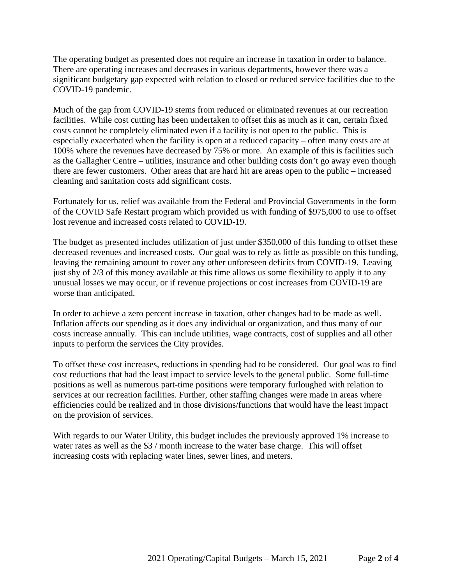The operating budget as presented does not require an increase in taxation in order to balance. There are operating increases and decreases in various departments, however there was a significant budgetary gap expected with relation to closed or reduced service facilities due to the COVID-19 pandemic.

Much of the gap from COVID-19 stems from reduced or eliminated revenues at our recreation facilities. While cost cutting has been undertaken to offset this as much as it can, certain fixed costs cannot be completely eliminated even if a facility is not open to the public. This is especially exacerbated when the facility is open at a reduced capacity – often many costs are at 100% where the revenues have decreased by 75% or more. An example of this is facilities such as the Gallagher Centre – utilities, insurance and other building costs don't go away even though there are fewer customers. Other areas that are hard hit are areas open to the public – increased cleaning and sanitation costs add significant costs.

Fortunately for us, relief was available from the Federal and Provincial Governments in the form of the COVID Safe Restart program which provided us with funding of \$975,000 to use to offset lost revenue and increased costs related to COVID-19.

The budget as presented includes utilization of just under \$350,000 of this funding to offset these decreased revenues and increased costs. Our goal was to rely as little as possible on this funding, leaving the remaining amount to cover any other unforeseen deficits from COVID-19. Leaving just shy of 2/3 of this money available at this time allows us some flexibility to apply it to any unusual losses we may occur, or if revenue projections or cost increases from COVID-19 are worse than anticipated.

In order to achieve a zero percent increase in taxation, other changes had to be made as well. Inflation affects our spending as it does any individual or organization, and thus many of our costs increase annually. This can include utilities, wage contracts, cost of supplies and all other inputs to perform the services the City provides.

To offset these cost increases, reductions in spending had to be considered. Our goal was to find cost reductions that had the least impact to service levels to the general public. Some full-time positions as well as numerous part-time positions were temporary furloughed with relation to services at our recreation facilities. Further, other staffing changes were made in areas where efficiencies could be realized and in those divisions/functions that would have the least impact on the provision of services.

With regards to our Water Utility, this budget includes the previously approved 1% increase to water rates as well as the \$3 / month increase to the water base charge. This will offset increasing costs with replacing water lines, sewer lines, and meters.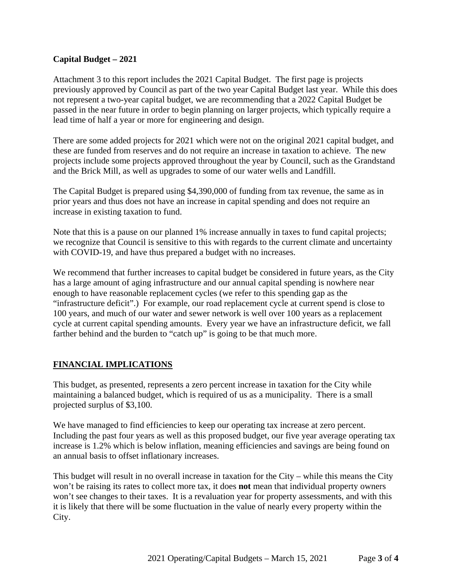#### **Capital Budget – 2021**

Attachment 3 to this report includes the 2021 Capital Budget. The first page is projects previously approved by Council as part of the two year Capital Budget last year. While this does not represent a two-year capital budget, we are recommending that a 2022 Capital Budget be passed in the near future in order to begin planning on larger projects, which typically require a lead time of half a year or more for engineering and design.

There are some added projects for 2021 which were not on the original 2021 capital budget, and these are funded from reserves and do not require an increase in taxation to achieve. The new projects include some projects approved throughout the year by Council, such as the Grandstand and the Brick Mill, as well as upgrades to some of our water wells and Landfill.

The Capital Budget is prepared using \$4,390,000 of funding from tax revenue, the same as in prior years and thus does not have an increase in capital spending and does not require an increase in existing taxation to fund.

Note that this is a pause on our planned 1% increase annually in taxes to fund capital projects; we recognize that Council is sensitive to this with regards to the current climate and uncertainty with COVID-19, and have thus prepared a budget with no increases.

We recommend that further increases to capital budget be considered in future years, as the City has a large amount of aging infrastructure and our annual capital spending is nowhere near enough to have reasonable replacement cycles (we refer to this spending gap as the "infrastructure deficit".) For example, our road replacement cycle at current spend is close to 100 years, and much of our water and sewer network is well over 100 years as a replacement cycle at current capital spending amounts. Every year we have an infrastructure deficit, we fall farther behind and the burden to "catch up" is going to be that much more.

#### **FINANCIAL IMPLICATIONS**

This budget, as presented, represents a zero percent increase in taxation for the City while maintaining a balanced budget, which is required of us as a municipality. There is a small projected surplus of \$3,100.

We have managed to find efficiencies to keep our operating tax increase at zero percent. Including the past four years as well as this proposed budget, our five year average operating tax increase is 1.2% which is below inflation, meaning efficiencies and savings are being found on an annual basis to offset inflationary increases.

This budget will result in no overall increase in taxation for the City – while this means the City won't be raising its rates to collect more tax, it does **not** mean that individual property owners won't see changes to their taxes. It is a revaluation year for property assessments, and with this it is likely that there will be some fluctuation in the value of nearly every property within the City.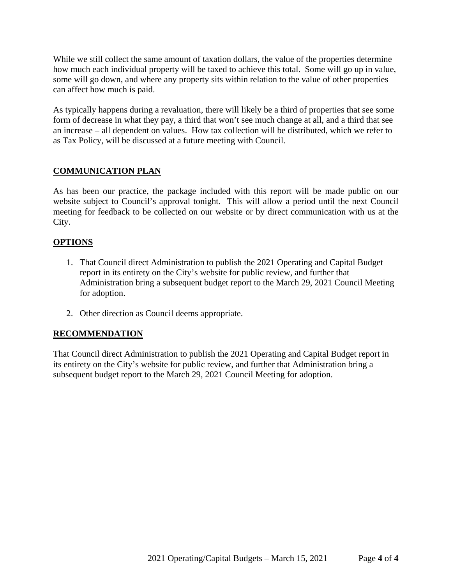While we still collect the same amount of taxation dollars, the value of the properties determine how much each individual property will be taxed to achieve this total. Some will go up in value, some will go down, and where any property sits within relation to the value of other properties can affect how much is paid.

As typically happens during a revaluation, there will likely be a third of properties that see some form of decrease in what they pay, a third that won't see much change at all, and a third that see an increase – all dependent on values. How tax collection will be distributed, which we refer to as Tax Policy, will be discussed at a future meeting with Council.

#### **COMMUNICATION PLAN**

As has been our practice, the package included with this report will be made public on our website subject to Council's approval tonight. This will allow a period until the next Council meeting for feedback to be collected on our website or by direct communication with us at the City.

#### **OPTIONS**

- 1. That Council direct Administration to publish the 2021 Operating and Capital Budget report in its entirety on the City's website for public review, and further that Administration bring a subsequent budget report to the March 29, 2021 Council Meeting for adoption.
- 2. Other direction as Council deems appropriate.

#### **RECOMMENDATION**

That Council direct Administration to publish the 2021 Operating and Capital Budget report in its entirety on the City's website for public review, and further that Administration bring a subsequent budget report to the March 29, 2021 Council Meeting for adoption.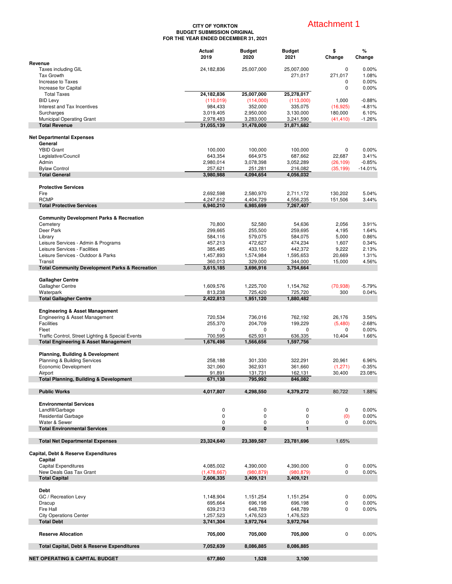#### **CITY OF YORKTON BUDGET SUBMISSION ORIGINAL FOR THE YEAR ENDED DECEMBER 31, 2021**

## Attachment 1

|                                                                      | Actual<br>2019          | <b>Budget</b><br>2020   | <b>Budget</b><br>2021   | \$<br>Change   | %<br>Change       |
|----------------------------------------------------------------------|-------------------------|-------------------------|-------------------------|----------------|-------------------|
| Revenue<br>Taxes including GIL                                       | 24,182,836              | 25,007,000              | 25,007,000              | 0              | 0.00%             |
| <b>Tax Growth</b>                                                    |                         |                         | 271,017                 | 271,017        | 1.08%             |
| Increase to Taxes                                                    |                         |                         |                         | 0              | 0.00%             |
| Increase for Capital<br><b>Total Taxes</b>                           | 24,182,836              | 25,007,000              | 25,278,017              | 0              | 0.00%             |
| <b>BID Levy</b>                                                      | (110, 019)              | (114,000)               | (113,000)               | 1,000          | $-0.88%$          |
| Interest and Tax Incentives                                          | 984,433                 | 352,000                 | 335,075                 | (16, 925)      | $-4.81%$          |
| Surcharges                                                           | 3,019,405               | 2,950,000               | 3,130,000               | 180,000        | 6.10%             |
| Municipal Operating Grant<br><b>Total Revenue</b>                    | 2,978,483<br>31,055,139 | 3,283,000<br>31,478,000 | 3,241,590<br>31,871,682 | (41, 410)      | $-1.26%$          |
|                                                                      |                         |                         |                         |                |                   |
| <b>Net Departmental Expenses</b>                                     |                         |                         |                         |                |                   |
| General                                                              |                         |                         |                         |                |                   |
| <b>YBID Grant</b><br>Legislative/Council                             | 100,000<br>643,354      | 100,000<br>664,975      | 100,000<br>687,662      | 0<br>22,687    | 0.00%<br>3.41%    |
| Admin                                                                | 2,980,014               | 3,078,398               | 3,052,289               | (26, 109)      | $-0.85%$          |
| <b>Bylaw Control</b>                                                 | 257,621                 | 251,281                 | 216,082                 | (35, 199)      | $-14.01%$         |
| <b>Total General</b>                                                 | 3,980,988               | 4,094,654               | 4,056,032               |                |                   |
| <b>Protective Services</b>                                           |                         |                         |                         |                |                   |
| Fire                                                                 | 2,692,598               | 2,580,970               | 2,711,172               | 130,202        | 5.04%             |
| <b>RCMP</b>                                                          | 4,247,612               | 4,404,729               | 4,556,235               | 151,506        | 3.44%             |
| <b>Total Protective Services</b>                                     | 6,940,210               | 6,985,699               | 7,267,407               |                |                   |
| <b>Community Development Parks &amp; Recreation</b>                  |                         |                         |                         |                |                   |
| Cemetery                                                             | 70,800                  | 52,580                  | 54,636                  | 2,056          | 3.91%             |
| Deer Park<br>Library                                                 | 299,665<br>584,116      | 255,500<br>579,075      | 259,695<br>584,075      | 4,195<br>5,000 | 1.64%<br>0.86%    |
| Leisure Services - Admin & Programs                                  | 457,213                 | 472,627                 | 474,234                 | 1,607          | 0.34%             |
| Leisure Services - Facilities                                        | 385,485                 | 433,150                 | 442,372                 | 9,222          | 2.13%             |
| Leisure Services - Outdoor & Parks                                   | 1,457,893               | 1,574,984               | 1,595,653               | 20,669         | 1.31%             |
| Transit<br><b>Total Community Development Parks &amp; Recreation</b> | 360,013<br>3,615,185    | 329,000<br>3,696,916    | 344,000<br>3,754,664    | 15,000         | 4.56%             |
|                                                                      |                         |                         |                         |                |                   |
| <b>Gallagher Centre</b>                                              |                         |                         |                         |                |                   |
| Gallagher Centre                                                     | 1,609,576               | 1,225,700               | 1,154,762               | (70, 938)      | $-5.79%$          |
| Waterpark<br><b>Total Gallagher Centre</b>                           | 813,238<br>2,422,813    | 725,420<br>1,951,120    | 725,720<br>1,880,482    | 300            | 0.04%             |
|                                                                      |                         |                         |                         |                |                   |
| <b>Engineering &amp; Asset Management</b>                            |                         |                         |                         |                |                   |
| Engineering & Asset Management                                       | 720,534                 | 736,016                 | 762,192                 | 26,176         | 3.56%             |
| <b>Facilities</b><br>Fleet                                           | 255,370<br>0            | 204,709<br>0            | 199,229<br>0            | (5,480)<br>0   | $-2.68%$<br>0.00% |
| Traffic Control, Street Lighting & Special Events                    | 700,595                 | 625,931                 | 636,335                 | 10,404         | 1.66%             |
| <b>Total Engineering &amp; Asset Management</b>                      | 1,676,498               | 1,566,656               | 1,597,756               |                |                   |
| Planning, Building & Development                                     |                         |                         |                         |                |                   |
| Planning & Building Services                                         | 258,188                 | 301,330                 | 322,291                 | 20,961         | 6.96%             |
| Economic Development                                                 | 321,060                 | 362,931                 | 361,660                 | (1, 271)       | $-0.35%$          |
| Airport                                                              | 91,891                  | 131,731                 | 162,131                 | 30,400         | 23.08%            |
| <b>Total Planning, Building &amp; Development</b>                    | 671,138                 | 795,992                 | 846,082                 |                |                   |
| <b>Public Works</b>                                                  | 4,017,807               | 4,298,550               | 4,379,272               | 80,722         | 1.88%             |
|                                                                      |                         |                         |                         |                |                   |
| <b>Environmental Services</b><br>Landfill/Garbage                    | 0                       | 0                       | $\mathbf 0$             | 0              | 0.00%             |
| <b>Residential Garbage</b>                                           | $\mathbf 0$             | $\pmb{0}$               | $\mathbf 0$             | (0)            | 0.00%             |
| Water & Sewer                                                        | 0                       | $\mathbf 0$             | 0                       | 0              | 0.00%             |
| <b>Total Environmental Services</b>                                  | 0                       | $\mathbf{0}$            | $\blacksquare$          |                |                   |
| <b>Total Net Departmental Expenses</b>                               | 23,324,640              | 23,389,587              | 23,781,696              | 1.65%          |                   |
|                                                                      |                         |                         |                         |                |                   |
| Capital, Debt & Reserve Expenditures                                 |                         |                         |                         |                |                   |
| Capital<br><b>Capital Expenditures</b>                               | 4,085,002               | 4,390,000               | 4,390,000               | 0              | 0.00%             |
| New Deals Gas Tax Grant                                              | (1,478,667)             | (980, 879)              | (980, 879)              | 0              | 0.00%             |
| <b>Total Capital</b>                                                 | 2,606,335               | 3,409,121               | 3,409,121               |                |                   |
| Debt                                                                 |                         |                         |                         |                |                   |
| GC / Recreation Levy                                                 | 1,148,904               | 1,151,254               | 1,151,254               | 0              | 0.00%             |
| Dracup                                                               | 695,664                 | 696,198                 | 696,198                 | 0              | 0.00%             |
| Fire Hall                                                            | 639,213                 | 648,789                 | 648,789                 | 0              | 0.00%             |
| <b>City Operations Center</b>                                        | 1,257,523               | 1,476,523               | 1,476,523               |                |                   |
| <b>Total Debt</b>                                                    | 3,741,304               | 3,972,764               | 3,972,764               |                |                   |
| <b>Reserve Allocation</b>                                            | 705,000                 | 705,000                 | 705,000                 | 0              | 0.00%             |
|                                                                      |                         |                         |                         |                |                   |
| <b>Total Capital, Debt &amp; Reserve Expenditures</b>                | 7,052,639               | 8,086,885               | 8,086,885               |                |                   |
| <b>NET OPERATING &amp; CAPITAL BUDGET</b>                            | 677,860                 | 1,528                   | 3,100                   |                |                   |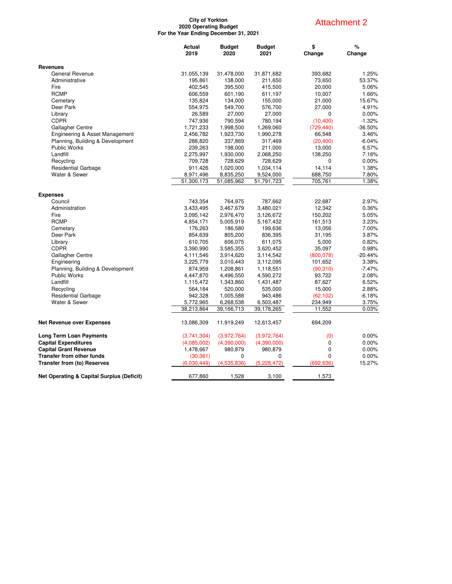#### **City of Yorkton 2020 Operating Budget For the Year Ending December 31, 2021**

## Attachment 2

|                                                      | Actual<br>2019 | <b>Budget</b><br>2020 | <b>Budget</b><br>2021 | \$<br>Change | %<br>Change |
|------------------------------------------------------|----------------|-----------------------|-----------------------|--------------|-------------|
| <b>Revenues</b>                                      |                |                       |                       |              |             |
| General Revenue                                      | 31,055,139     | 31,478,000            | 31,871,682            | 393,682      | 1.25%       |
| Administrative                                       | 195,861        | 138,000               | 211,650               | 73,650       | 53.37%      |
| Fire                                                 | 402,545        | 395,500               | 415,500               | 20,000       | 5.06%       |
| <b>RCMP</b>                                          | 606,559        | 601,190               | 611,197               | 10,007       | 1.66%       |
| Cemetary                                             | 135,824        | 134,000               | 155,000               | 21,000       | 15.67%      |
| Deer Park                                            | 554,975        | 549,700               | 576,700               | 27,000       | 4.91%       |
| Library                                              | 26,589         | 27,000                | 27,000                | 0            | 0.00%       |
| <b>CDPR</b>                                          | 747,936        | 790,594               | 780,194               | (10, 400)    | $-1.32%$    |
| Gallagher Centre                                     | 1,721,233      | 1,998,500             | 1,269,060             | (729, 440)   | $-36.50%$   |
| Engineering & Asset Management                       | 2,456,782      | 1,923,730             | 1,990,278             | 66,548       | 3.46%       |
| Planning, Building & Development                     | 288,820        | 337,869               | 317,469               | (20, 400)    | $-6.04%$    |
| Public Works                                         | 239,263        | 198,000               | 211,000               | 13,000       | 6.57%       |
| Landfill                                             | 2,275,997      | 1,930,000             | 2,068,250             | 138,250      | 7.16%       |
| Recycling                                            | 709,728        | 728,629               | 728,629               | 0            | 0.00%       |
| <b>Residential Garbage</b>                           | 911,426        | 1,020,000             | 1,034,114             | 14,114       | 1.38%       |
| Water & Sewer                                        | 8,971,496      | 8,835,250             | 9,524,000             | 688,750      | 7.80%       |
|                                                      | 51,300,173     | 51,085,962            | 51,791,723            | 705,761      | 1.38%       |
|                                                      |                |                       |                       |              |             |
| <b>Expenses</b>                                      |                |                       |                       |              |             |
| Council                                              | 743,354        | 764,975               | 787,662               | 22,687       | 2.97%       |
| Administration                                       | 3,433,495      | 3,467,679             | 3,480,021             | 12,342       | 0.36%       |
| Fire                                                 | 3,095,142      | 2,976,470             | 3,126,672             | 150,202      | 5.05%       |
| <b>RCMP</b>                                          | 4,854,171      | 5,005,919             | 5,167,432             | 161,513      | 3.23%       |
| Cemetary                                             | 176,263        | 186,580               | 199,636               | 13,056       | 7.00%       |
| Deer Park                                            | 854,639        | 805,200               | 836,395               | 31,195       | 3.87%       |
| Library                                              | 610,705        | 606,075               | 611,075               | 5,000        | 0.82%       |
| <b>CDPR</b>                                          | 3,390,990      | 3,585,355             | 3,620,452             | 35,097       | 0.98%       |
| Gallagher Centre                                     | 4,111,546      | 3,914,620             | 3,114,542             | (800, 078)   | $-20.44%$   |
| Engineering                                          | 3,225,779      | 3,010,443             | 3,112,095             | 101,652      | 3.38%       |
| Planning, Building & Development                     | 874,959        | 1,208,861             | 1,118,551             | (90,310)     | $-7.47%$    |
| Public Works                                         | 4,447,870      | 4,496,550             | 4,590,272             | 93,722       | 2.08%       |
| Landfill                                             | 1,115,472      | 1,343,860             | 1,431,487             | 87,627       | 6.52%       |
| Recycling                                            | 564,184        | 520,000               | 535,000               | 15,000       | 2.88%       |
| <b>Residential Garbage</b>                           | 942,328        | 1,005,588             | 943,486               | (62, 102)    | $-6.18%$    |
| Water & Sewer                                        | 5,772,965      | 6,268,538             | 6,503,487             | 234,949      | 3.75%       |
|                                                      | 38,213,864     | 39,166,713            | 39,178,265            | 11,552       | 0.03%       |
| <b>Net Revenue over Expenses</b>                     | 13,086,309     | 11,919,249            | 12,613,457            | 694,209      |             |
| <b>Long Term Loan Payments</b>                       | (3,741,304)    | (3,972,764)           | (3,972,764)           | (0)          | 0.00%       |
| <b>Capital Expenditures</b>                          | (4,085,002)    | (4,390,000)           | (4,390,000)           | 0            | $0.00\%$    |
| <b>Capital Grant Revenue</b>                         | 1,478,667      | 980,879               | 980,879               | 0            | 0.00%       |
| <b>Transfer from other funds</b>                     | (30, 361)      | 0                     | $\Omega$              | $\Omega$     | 0.00%       |
| <b>Transfer from (to) Reserves</b>                   | (6,030,449)    | (4,535,836)           | (5,228,472)           | (692, 636)   | 15.27%      |
| <b>Net Operating &amp; Capital Surplus (Deficit)</b> | 677,860        | 1,528                 | 3,100                 | 1,573        |             |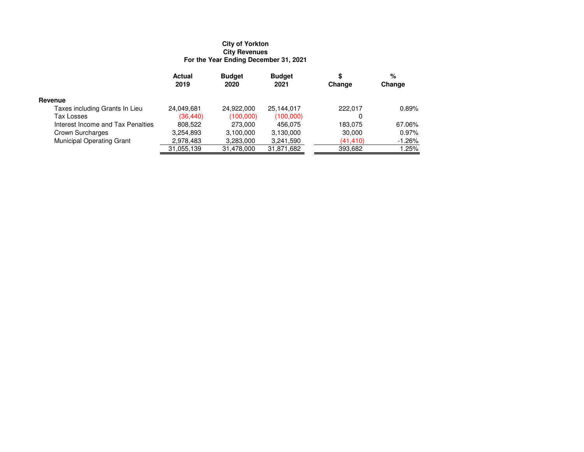# **City of Yorkton City Revenues For the Year Ending December 31, 2021**

|                                   | Actual<br>2019 | <b>Budget</b><br>2020 | <b>Budget</b><br>2021 | \$<br>Change | %<br>Change |
|-----------------------------------|----------------|-----------------------|-----------------------|--------------|-------------|
| Revenue                           |                |                       |                       |              |             |
| Taxes including Grants In Lieu    | 24,049,681     | 24,922,000            | 25,144,017            | 222.017      | 0.89%       |
| Tax Losses                        | (36, 440)      | (100,000)             | (100,000)             | 0            |             |
| Interest Income and Tax Penalties | 808,522        | 273,000               | 456.075               | 183.075      | 67.06%      |
| Crown Surcharges                  | 3,254,893      | 3.100.000             | 3,130,000             | 30,000       | 0.97%       |
| <b>Municipal Operating Grant</b>  | 2,978,483      | 3,283,000             | 3,241,590             | (41, 410)    | $-1.26%$    |
|                                   | 31,055,139     | 31,478,000            | 31,871,682            | 393,682      | 1.25%       |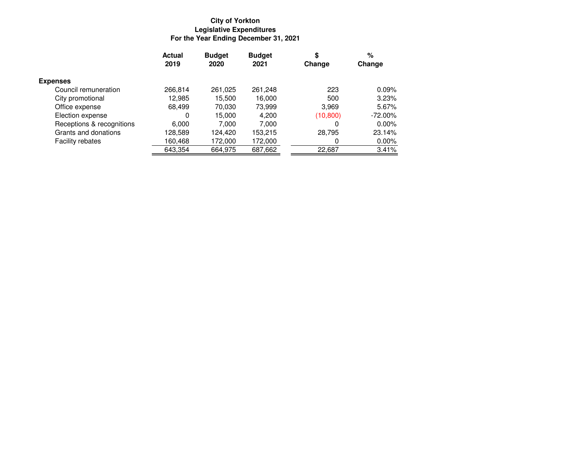# **City of YorktonLegislative Expenditures For the Year Ending December 31, 2021**

|                           | <b>Actual</b> | <b>Budget</b> | <b>Budget</b> | \$        | %          |
|---------------------------|---------------|---------------|---------------|-----------|------------|
|                           | 2019          | 2020          | 2021          | Change    | Change     |
| <b>Expenses</b>           |               |               |               |           |            |
| Council remuneration      | 266,814       | 261,025       | 261,248       | 223       | 0.09%      |
| City promotional          | 12,985        | 15,500        | 16,000        | 500       | 3.23%      |
| Office expense            | 68.499        | 70,030        | 73,999        | 3,969     | 5.67%      |
| Election expense          | 0             | 15,000        | 4,200         | (10, 800) | $-72.00\%$ |
| Receptions & recognitions | 6,000         | 7,000         | 7,000         | 0         | 0.00%      |
| Grants and donations      | 128.589       | 124.420       | 153,215       | 28,795    | 23.14%     |
| Facility rebates          | 160,468       | 172,000       | 172,000       | 0         | 0.00%      |
|                           | 643,354       | 664,975       | 687,662       | 22,687    | 3.41%      |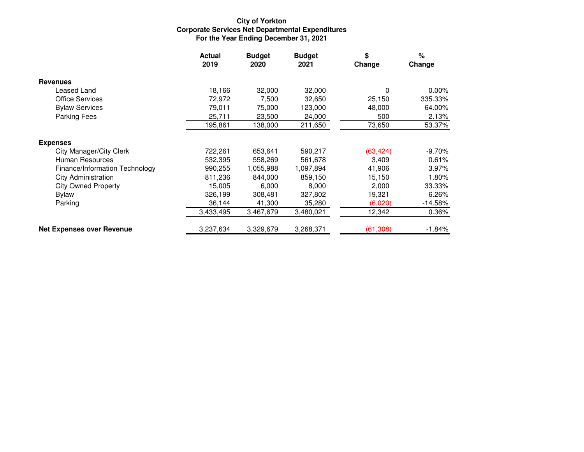# **City of YorktonCorporate Services Net Departmental Expenditures For the Year Ending December 31, 2021**

|                                  | <b>Actual</b><br>2019 | <b>Budget</b><br>2020 | <b>Budget</b><br>2021 | \$<br>Change | $\%$<br>Change |
|----------------------------------|-----------------------|-----------------------|-----------------------|--------------|----------------|
| <b>Revenues</b>                  |                       |                       |                       |              |                |
| Leased Land                      | 18,166                | 32,000                | 32,000                | 0            | $0.00\%$       |
| <b>Office Services</b>           | 72,972                | 7,500                 | 32,650                | 25,150       | 335.33%        |
| <b>Bylaw Services</b>            | 79,011                | 75,000                | 123,000               | 48,000       | 64.00%         |
| <b>Parking Fees</b>              | 25,711                | 23,500                | 24,000                | 500          | 2.13%          |
|                                  | 195,861               | 138.000               | 211,650               | 73,650       | 53.37%         |
| <b>Expenses</b>                  |                       |                       |                       |              |                |
| City Manager/City Clerk          | 722,261               | 653,641               | 590,217               | (63, 424)    | $-9.70%$       |
| Human Resources                  | 532,395               | 558,269               | 561,678               | 3,409        | 0.61%          |
| Finance/Information Technology   | 990,255               | 1,055,988             | 1,097,894             | 41,906       | 3.97%          |
| <b>City Administration</b>       | 811,236               | 844,000               | 859,150               | 15,150       | 1.80%          |
| <b>City Owned Property</b>       | 15,005                | 6,000                 | 8,000                 | 2,000        | 33.33%         |
| <b>Bylaw</b>                     | 326,199               | 308,481               | 327,802               | 19,321       | 6.26%          |
| Parking                          | 36,144                | 41,300                | 35,280                | (6,020)      | $-14.58%$      |
|                                  | 3,433,495             | 3,467,679             | 3,480,021             | 12,342       | $0.36\%$       |
| <b>Net Expenses over Revenue</b> | 3,237,634             | 3,329,679             | 3,268,371             | (61, 308)    | $-1.84%$       |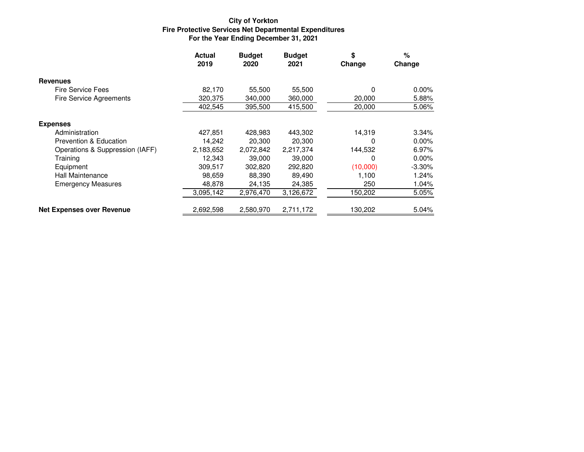# **City of YorktonFire Protective Services Net Departmental Expenditures For the Year Ending December 31, 2021**

|                                   | <b>Actual</b><br>2019 | <b>Budget</b><br>2020 | <b>Budget</b><br>2021 | \$<br>Change | $\%$<br>Change |
|-----------------------------------|-----------------------|-----------------------|-----------------------|--------------|----------------|
| <b>Revenues</b>                   |                       |                       |                       |              |                |
| <b>Fire Service Fees</b>          | 82,170                | 55,500                | 55,500                | 0            | $0.00\%$       |
| <b>Fire Service Agreements</b>    | 320,375               | 340,000               | 360,000               | 20,000       | 5.88%          |
|                                   | 402,545               | 395,500               | 415,500               | 20,000       | 5.06%          |
| <b>Expenses</b>                   |                       |                       |                       |              |                |
| Administration                    | 427.851               | 428,983               | 443,302               | 14,319       | 3.34%          |
| <b>Prevention &amp; Education</b> | 14,242                | 20,300                | 20,300                | 0            | $0.00\%$       |
| Operations & Suppression (IAFF)   | 2,183,652             | 2,072,842             | 2,217,374             | 144,532      | 6.97%          |
| Training                          | 12.343                | 39,000                | 39,000                | 0            | $0.00\%$       |
| Equipment                         | 309,517               | 302,820               | 292,820               | (10,000)     | $-3.30\%$      |
| Hall Maintenance                  | 98.659                | 88,390                | 89,490                | 1.100        | 1.24%          |
| <b>Emergency Measures</b>         | 48,878                | 24,135                | 24,385                | 250          | 1.04%          |
|                                   | 3,095,142             | 2,976,470             | 3,126,672             | 150,202      | 5.05%          |
| <b>Net Expenses over Revenue</b>  | 2,692,598             | 2,580,970             | 2,711,172             | 130,202      | 5.04%          |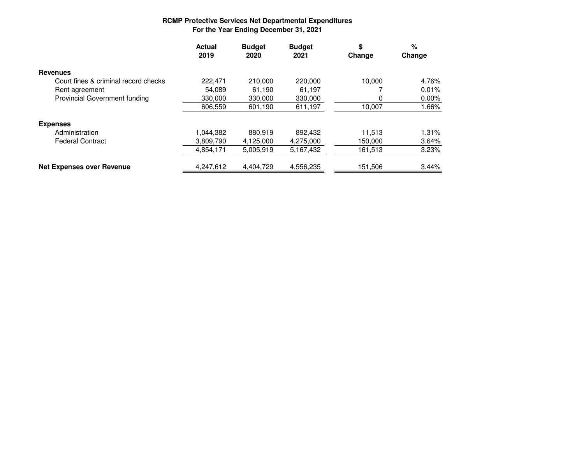# **RCMP Protective Services Net Departmental Expenditures For the Year Ending December 31, 2021**

|                                      | <b>Actual</b><br>2019 | <b>Budget</b><br>2020 | <b>Budget</b><br>2021 | \$<br>Change | %<br>Change |
|--------------------------------------|-----------------------|-----------------------|-----------------------|--------------|-------------|
| <b>Revenues</b>                      |                       |                       |                       |              |             |
| Court fines & criminal record checks | 222.471               | 210,000               | 220,000               | 10.000       | 4.76%       |
| Rent agreement                       | 54.089                | 61,190                | 61,197                |              | 0.01%       |
| <b>Provincial Government funding</b> | 330,000               | 330,000               | 330,000               |              | $0.00\%$    |
|                                      | 606,559               | 601,190               | 611,197               | 10,007       | 1.66%       |
| <b>Expenses</b>                      |                       |                       |                       |              |             |
| Administration                       | 1.044.382             | 880.919               | 892,432               | 11.513       | 1.31%       |
| <b>Federal Contract</b>              | 3,809,790             | 4,125,000             | 4,275,000             | 150,000      | 3.64%       |
|                                      | 4,854,171             | 5,005,919             | 5,167,432             | 161,513      | 3.23%       |
| <b>Net Expenses over Revenue</b>     | 4,247,612             | 4,404,729             | 4,556,235             | 151,506      | 3.44%       |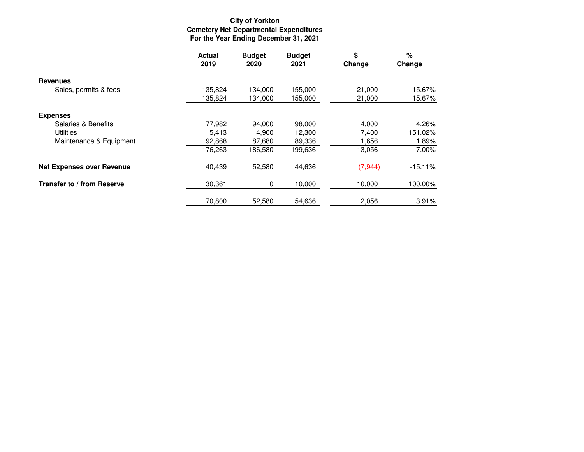# **City of Yorkton Cemetery Net Departmental Expenditures For the Year Ending December 31, 2021**

|                                  | <b>Actual</b><br>2019 | <b>Budget</b><br>2020 | <b>Budget</b><br>2021 | \$<br>Change | %<br>Change |
|----------------------------------|-----------------------|-----------------------|-----------------------|--------------|-------------|
| <b>Revenues</b>                  |                       |                       |                       |              |             |
| Sales, permits & fees            | 135,824               | 134,000               | 155,000               | 21,000       | 15.67%      |
|                                  | 135,824               | 134,000               | 155,000               | 21,000       | 15.67%      |
| <b>Expenses</b>                  |                       |                       |                       |              |             |
| Salaries & Benefits              | 77,982                | 94,000                | 98,000                | 4,000        | 4.26%       |
| <b>Utilities</b>                 | 5,413                 | 4,900                 | 12,300                | 7,400        | 151.02%     |
| Maintenance & Equipment          | 92,868                | 87,680                | 89,336                | 1,656        | 1.89%       |
|                                  | 176,263               | 186,580               | 199,636               | 13,056       | 7.00%       |
| <b>Net Expenses over Revenue</b> | 40,439                | 52,580                | 44,636                | (7, 944)     | $-15.11%$   |
| Transfer to / from Reserve       | 30,361                | 0                     | 10,000                | 10,000       | 100.00%     |
|                                  | 70.800                | 52.580                | 54,636                | 2,056        | 3.91%       |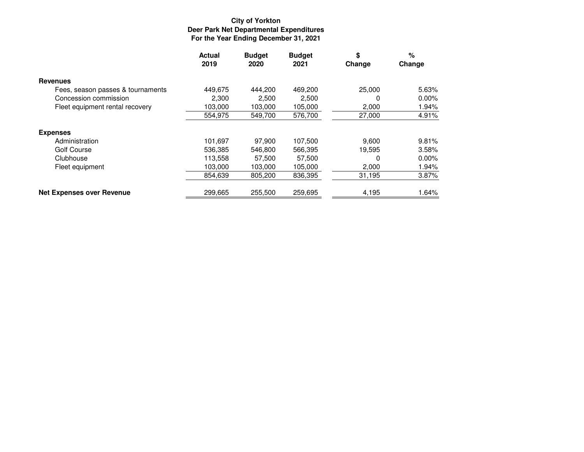# **City of YorktonDeer Park Net Departmental Expenditures For the Year Ending December 31, 2021**

|                                   | <b>Actual</b><br>2019 | <b>Budget</b><br>2020 | <b>Budget</b><br>2021 | \$<br>Change | %<br>Change |
|-----------------------------------|-----------------------|-----------------------|-----------------------|--------------|-------------|
| <b>Revenues</b>                   |                       |                       |                       |              |             |
| Fees, season passes & tournaments | 449,675               | 444.200               | 469,200               | 25,000       | 5.63%       |
| Concession commission             | 2,300                 | 2.500                 | 2,500                 | O            | 0.00%       |
| Fleet equipment rental recovery   | 103.000               | 103.000               | 105,000               | 2,000        | 1.94%       |
|                                   | 554,975               | 549,700               | 576,700               | 27,000       | 4.91%       |
| <b>Expenses</b>                   |                       |                       |                       |              |             |
| Administration                    | 101,697               | 97,900                | 107,500               | 9,600        | 9.81%       |
| Golf Course                       | 536,385               | 546,800               | 566,395               | 19,595       | 3.58%       |
| Clubhouse                         | 113.558               | 57.500                | 57.500                | 0            | 0.00%       |
| Fleet equipment                   | 103,000               | 103,000               | 105,000               | 2,000        | 1.94%       |
|                                   | 854,639               | 805,200               | 836,395               | 31,195       | 3.87%       |
| <b>Net Expenses over Revenue</b>  | 299,665               | 255,500               | 259,695               | 4,195        | 1.64%       |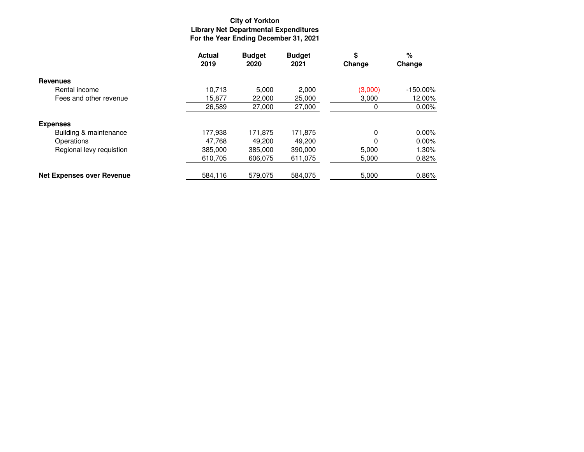# **City of Yorkton Library Net Departmental Expenditures For the Year Ending December 31, 2021**

|                                  | <b>Actual</b><br>2019 | <b>Budget</b><br>2020 | <b>Budget</b><br>2021 | \$<br>Change | %<br>Change |
|----------------------------------|-----------------------|-----------------------|-----------------------|--------------|-------------|
| <b>Revenues</b>                  |                       |                       |                       |              |             |
| Rental income                    | 10.713                | 5,000                 | 2,000                 | (3,000)      | $-150.00\%$ |
| Fees and other revenue           | 15,877                | 22,000                | 25,000                | 3,000        | 12.00%      |
|                                  | 26,589                | 27,000                | 27,000                | 0            | 0.00%       |
| <b>Expenses</b>                  |                       |                       |                       |              |             |
| Building & maintenance           | 177.938               | 171,875               | 171,875               | 0            | $0.00\%$    |
| Operations                       | 47,768                | 49,200                | 49.200                | $\Omega$     | $0.00\%$    |
| Regional levy requistion         | 385,000               | 385,000               | 390,000               | 5,000        | 1.30%       |
|                                  | 610.705               | 606,075               | 611,075               | 5,000        | 0.82%       |
| <b>Net Expenses over Revenue</b> | 584,116               | 579,075               | 584,075               | 5,000        | 0.86%       |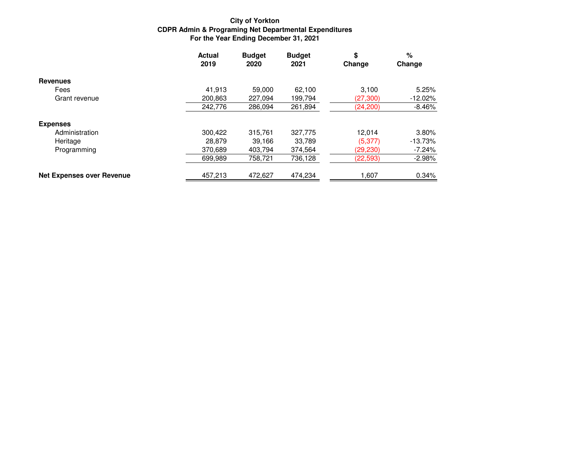# **City of YorktonCDPR Admin & Programing Net Departmental Expenditures For the Year Ending December 31, 2021**

|                                  | <b>Actual</b><br>2019 | <b>Budget</b><br>2020 | <b>Budget</b><br>2021 | \$<br>Change | %<br>Change |
|----------------------------------|-----------------------|-----------------------|-----------------------|--------------|-------------|
| <b>Revenues</b>                  |                       |                       |                       |              |             |
| Fees                             | 41,913                | 59.000                | 62.100                | 3.100        | 5.25%       |
| Grant revenue                    | 200,863               | 227.094               | 199,794               | (27, 300)    | $-12.02\%$  |
|                                  | 242,776               | 286,094               | 261,894               | (24, 200)    | $-8.46%$    |
| <b>Expenses</b>                  |                       |                       |                       |              |             |
| Administration                   | 300.422               | 315,761               | 327,775               | 12.014       | 3.80%       |
| Heritage                         | 28,879                | 39.166                | 33,789                | (5, 377)     | $-13.73%$   |
| Programming                      | 370.689               | 403.794               | 374,564               | (29, 230)    | $-7.24\%$   |
|                                  | 699,989               | 758,721               | 736,128               | (22, 593)    | $-2.98%$    |
| <b>Net Expenses over Revenue</b> | 457,213               | 472,627               | 474,234               | 1,607        | 0.34%       |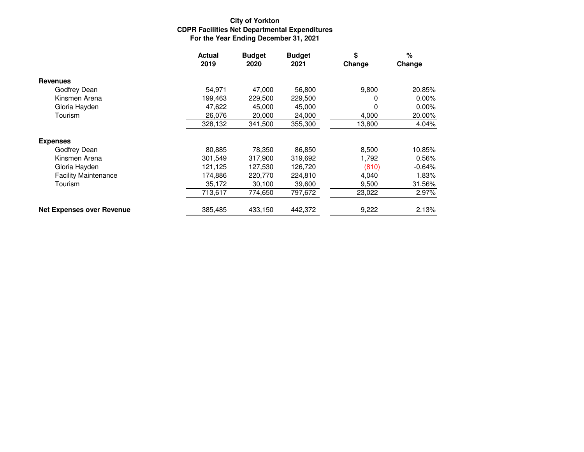# **City of YorktonCDPR Facilities Net Departmental Expenditures For the Year Ending December 31, 2021**

|                                  | <b>Actual</b><br>2019 | <b>Budget</b><br>2020 | <b>Budget</b><br>2021 | \$<br>Change | %<br>Change |
|----------------------------------|-----------------------|-----------------------|-----------------------|--------------|-------------|
| <b>Revenues</b>                  |                       |                       |                       |              |             |
| Godfrey Dean                     | 54,971                | 47,000                | 56,800                | 9,800        | 20.85%      |
| Kinsmen Arena                    | 199,463               | 229,500               | 229,500               | 0            | $0.00\%$    |
| Gloria Hayden                    | 47,622                | 45,000                | 45,000                | O            | $0.00\%$    |
| Tourism                          | 26,076                | 20,000                | 24,000                | 4,000        | 20.00%      |
|                                  | 328,132               | 341,500               | 355,300               | 13,800       | 4.04%       |
| <b>Expenses</b>                  |                       |                       |                       |              |             |
| Godfrey Dean                     | 80,885                | 78,350                | 86,850                | 8,500        | 10.85%      |
| Kinsmen Arena                    | 301,549               | 317,900               | 319,692               | 1,792        | 0.56%       |
| Gloria Hayden                    | 121,125               | 127,530               | 126,720               | (810)        | $-0.64%$    |
| <b>Facility Maintenance</b>      | 174,886               | 220.770               | 224,810               | 4,040        | 1.83%       |
| Tourism                          | 35,172                | 30,100                | 39,600                | 9,500        | 31.56%      |
|                                  | 713,617               | 774,650               | 797,672               | 23,022       | 2.97%       |
| <b>Net Expenses over Revenue</b> | 385,485               | 433,150               | 442,372               | 9,222        | 2.13%       |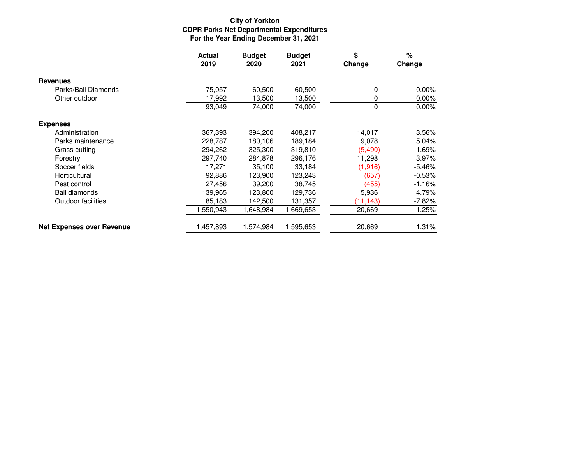# **City of YorktonCDPR Parks Net Departmental Expenditures For the Year Ending December 31, 2021**

|                                  | <b>Actual</b><br>2019 | <b>Budget</b><br>2020 | <b>Budget</b><br>2021 | \$<br>Change | $\%$<br>Change |
|----------------------------------|-----------------------|-----------------------|-----------------------|--------------|----------------|
| <b>Revenues</b>                  |                       |                       |                       |              |                |
| Parks/Ball Diamonds              | 75,057                | 60,500                | 60,500                | 0            | $0.00\%$       |
| Other outdoor                    | 17,992                | 13,500                | 13,500                | 0            | $0.00\%$       |
|                                  | 93,049                | 74,000                | 74,000                | 0            | $0.00\%$       |
| <b>Expenses</b>                  |                       |                       |                       |              |                |
| Administration                   | 367,393               | 394,200               | 408,217               | 14,017       | 3.56%          |
| Parks maintenance                | 228,787               | 180,106               | 189,184               | 9,078        | 5.04%          |
| Grass cutting                    | 294,262               | 325,300               | 319,810               | (5,490)      | $-1.69%$       |
| Forestry                         | 297,740               | 284,878               | 296,176               | 11,298       | 3.97%          |
| Soccer fields                    | 17.271                | 35,100                | 33,184                | (1,916)      | $-5.46%$       |
| Horticultural                    | 92,886                | 123,900               | 123,243               | (657)        | $-0.53%$       |
| Pest control                     | 27,456                | 39,200                | 38,745                | (455)        | $-1.16%$       |
| <b>Ball diamonds</b>             | 139,965               | 123,800               | 129,736               | 5,936        | 4.79%          |
| Outdoor facilities               | 85,183                | 142,500               | 131,357               | (11, 143)    | $-7.82%$       |
|                                  | ,550,943              | ,648,984              | 1,669,653             | 20,669       | 1.25%          |
| <b>Net Expenses over Revenue</b> | 1,457,893             | 1,574,984             | 1,595,653             | 20,669       | 1.31%          |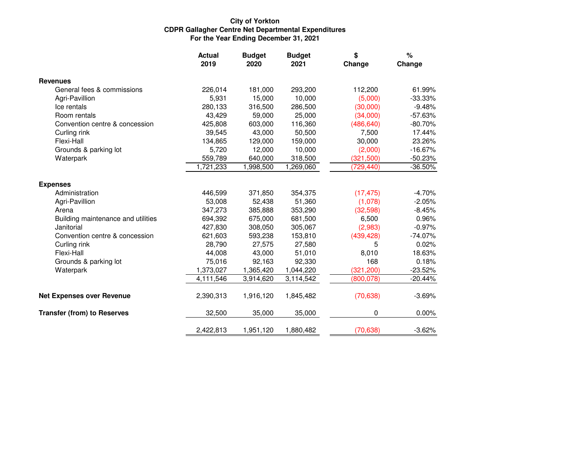# **City of YorktonCDPR Gallagher Centre Net Departmental Expenditures For the Year Ending December 31, 2021**

|                                    | <b>Actual</b><br>2019 | <b>Budget</b><br>2020 | <b>Budget</b><br>2021 | \$<br>Change | $\%$<br>Change |
|------------------------------------|-----------------------|-----------------------|-----------------------|--------------|----------------|
| <b>Revenues</b>                    |                       |                       |                       |              |                |
| General fees & commissions         | 226,014               | 181,000               | 293,200               | 112,200      | 61.99%         |
| Agri-Pavillion                     | 5,931                 | 15,000                | 10,000                | (5,000)      | $-33.33\%$     |
| Ice rentals                        | 280,133               | 316,500               | 286,500               | (30,000)     | $-9.48%$       |
| Room rentals                       | 43,429                | 59,000                | 25,000                | (34,000)     | $-57.63%$      |
| Convention centre & concession     | 425,808               | 603,000               | 116,360               | (486, 640)   | $-80.70%$      |
| Curling rink                       | 39,545                | 43,000                | 50,500                | 7,500        | 17.44%         |
| Flexi-Hall                         | 134,865               | 129,000               | 159,000               | 30,000       | 23.26%         |
| Grounds & parking lot              | 5,720                 | 12,000                | 10,000                | (2,000)      | $-16.67%$      |
| Waterpark                          | 559,789               | 640,000               | 318,500               | (321, 500)   | $-50.23%$      |
|                                    | 1,721,233             | 1,998,500             | 1,269,060             | (729, 440)   | $-36.50%$      |
| <b>Expenses</b>                    |                       |                       |                       |              |                |
| Administration                     | 446,599               | 371,850               | 354,375               | (17, 475)    | $-4.70%$       |
| Agri-Pavillion                     | 53,008                | 52,438                | 51,360                | (1,078)      | $-2.05%$       |
| Arena                              | 347,273               | 385,888               | 353,290               | (32,598)     | $-8.45%$       |
| Building maintenance and utilities | 694,392               | 675,000               | 681,500               | 6,500        | 0.96%          |
| Janitorial                         | 427,830               | 308,050               | 305,067               | (2,983)      | $-0.97%$       |
| Convention centre & concession     | 621,603               | 593,238               | 153,810               | (439, 428)   | $-74.07%$      |
| Curling rink                       | 28,790                | 27,575                | 27,580                | 5            | 0.02%          |
| Flexi-Hall                         | 44,008                | 43,000                | 51,010                | 8,010        | 18.63%         |
| Grounds & parking lot              | 75,016                | 92,163                | 92,330                | 168          | 0.18%          |
| Waterpark                          | 1,373,027             | 1,365,420             | 1,044,220             | (321, 200)   | $-23.52%$      |
|                                    | 4,111,546             | 3,914,620             | 3,114,542             | (800, 078)   | $-20.44%$      |
| <b>Net Expenses over Revenue</b>   | 2,390,313             | 1,916,120             | 1,845,482             | (70, 638)    | $-3.69%$       |
| <b>Transfer (from) to Reserves</b> | 32,500                | 35,000                | 35,000                | 0            | 0.00%          |
|                                    | 2,422,813             | 1,951,120             | 1,880,482             | (70, 638)    | $-3.62%$       |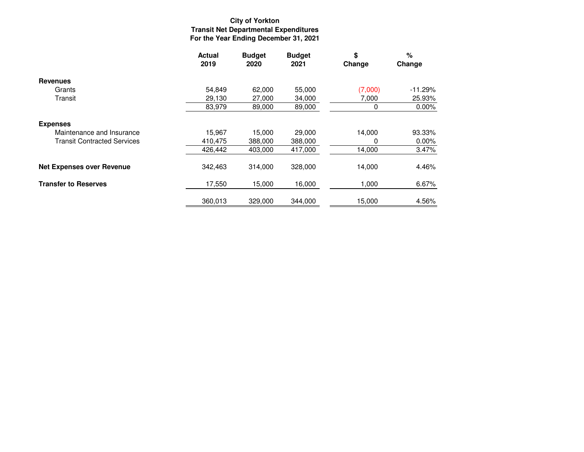# **City of YorktonTransit Net Departmental Expenditures For the Year Ending December 31, 2021**

|                                    | <b>Actual</b><br>2019 | <b>Budget</b><br>2020 | <b>Budget</b><br>2021 | \$<br>Change | %<br>Change |
|------------------------------------|-----------------------|-----------------------|-----------------------|--------------|-------------|
| <b>Revenues</b>                    |                       |                       |                       |              |             |
| Grants                             | 54.849                | 62.000                | 55,000                | (7,000)      | $-11.29%$   |
| Transit                            | 29,130                | 27,000                | 34,000                | 7,000        | 25.93%      |
|                                    | 83.979                | 89,000                | 89,000                | 0            | 0.00%       |
| <b>Expenses</b>                    |                       |                       |                       |              |             |
| Maintenance and Insurance          | 15,967                | 15,000                | 29,000                | 14,000       | 93.33%      |
| <b>Transit Contracted Services</b> | 410,475               | 388,000               | 388,000               | 0            | 0.00%       |
|                                    | 426,442               | 403,000               | 417,000               | 14,000       | 3.47%       |
| <b>Net Expenses over Revenue</b>   | 342,463               | 314,000               | 328,000               | 14,000       | 4.46%       |
| <b>Transfer to Reserves</b>        | 17,550                | 15,000                | 16,000                | 1,000        | 6.67%       |
|                                    | 360.013               | 329,000               | 344.000               | 15,000       | 4.56%       |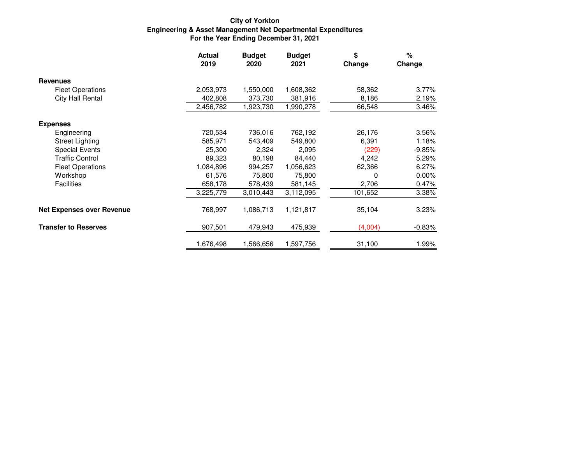#### **For the Year Ending December 31, 2021Engineering & Asset Management Net Departmental Expenditures City of Yorkton**

|                                  | <b>Actual</b><br>2019 | <b>Budget</b><br>2020 | <b>Budget</b><br>2021 | \$<br>Change | $\%$<br>Change |
|----------------------------------|-----------------------|-----------------------|-----------------------|--------------|----------------|
| <b>Revenues</b>                  |                       |                       |                       |              |                |
| <b>Fleet Operations</b>          | 2,053,973             | 1,550,000             | 1,608,362             | 58,362       | 3.77%          |
| City Hall Rental                 | 402,808               | 373,730               | 381,916               | 8,186        | 2.19%          |
|                                  | 2,456,782             | 1,923,730             | 1,990,278             | 66,548       | 3.46%          |
| <b>Expenses</b>                  |                       |                       |                       |              |                |
| Engineering                      | 720,534               | 736,016               | 762,192               | 26,176       | 3.56%          |
| <b>Street Lighting</b>           | 585,971               | 543,409               | 549,800               | 6,391        | 1.18%          |
| <b>Special Events</b>            | 25,300                | 2,324                 | 2,095                 | (229)        | $-9.85%$       |
| <b>Traffic Control</b>           | 89,323                | 80,198                | 84,440                | 4,242        | 5.29%          |
| <b>Fleet Operations</b>          | 1,084,896             | 994,257               | 1,056,623             | 62,366       | 6.27%          |
| Workshop                         | 61,576                | 75,800                | 75,800                | 0            | $0.00\%$       |
| <b>Facilities</b>                | 658,178               | 578,439               | 581,145               | 2,706        | 0.47%          |
|                                  | 3,225,779             | 3,010,443             | 3,112,095             | 101,652      | 3.38%          |
| <b>Net Expenses over Revenue</b> | 768,997               | 1,086,713             | 1,121,817             | 35,104       | 3.23%          |
| <b>Transfer to Reserves</b>      | 907,501               | 479,943               | 475,939               | (4,004)      | $-0.83%$       |
|                                  | 1,676,498             | 1,566,656             | 1,597,756             | 31,100       | 1.99%          |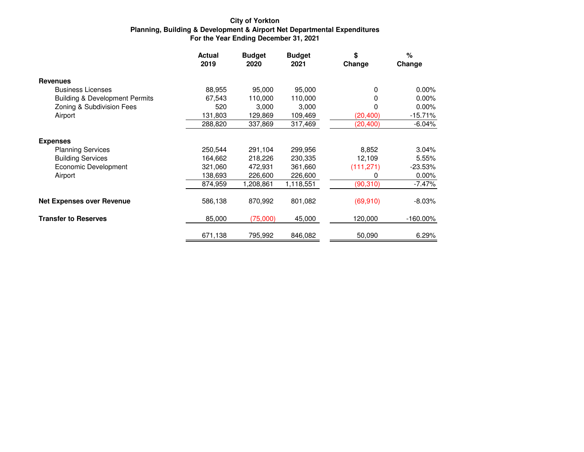# **City of YorktonPlanning, Building & Development & Airport Net Departmental Expenditures For the Year Ending December 31, 2021**

|                                           | <b>Actual</b><br>2019 | <b>Budget</b><br>2020 | <b>Budget</b><br>2021 | \$<br>Change | %<br>Change |
|-------------------------------------------|-----------------------|-----------------------|-----------------------|--------------|-------------|
| <b>Revenues</b>                           |                       |                       |                       |              |             |
| <b>Business Licenses</b>                  | 88,955                | 95,000                | 95,000                | 0            | 0.00%       |
| <b>Building &amp; Development Permits</b> | 67,543                | 110,000               | 110,000               | 0            | $0.00\%$    |
| Zoning & Subdivision Fees                 | 520                   | 3,000                 | 3,000                 | 0            | $0.00\%$    |
| Airport                                   | 131,803               | 129,869               | 109,469               | (20, 400)    | $-15.71%$   |
|                                           | 288,820               | 337,869               | 317,469               | (20, 400)    | $-6.04%$    |
| <b>Expenses</b>                           |                       |                       |                       |              |             |
| <b>Planning Services</b>                  | 250,544               | 291,104               | 299,956               | 8,852        | 3.04%       |
| <b>Building Services</b>                  | 164,662               | 218,226               | 230,335               | 12,109       | 5.55%       |
| Economic Development                      | 321,060               | 472,931               | 361,660               | (111, 271)   | $-23.53%$   |
| Airport                                   | 138,693               | 226,600               | 226,600               | O            | 0.00%       |
|                                           | 874,959               | 1,208.861             | 1,118,551             | (90, 310)    | $-7.47%$    |
| <b>Net Expenses over Revenue</b>          | 586,138               | 870,992               | 801,082               | (69, 910)    | $-8.03%$    |
| <b>Transfer to Reserves</b>               | 85,000                | (75,000)              | 45,000                | 120,000      | $-160.00\%$ |
|                                           | 671,138               | 795,992               | 846,082               | 50,090       | 6.29%       |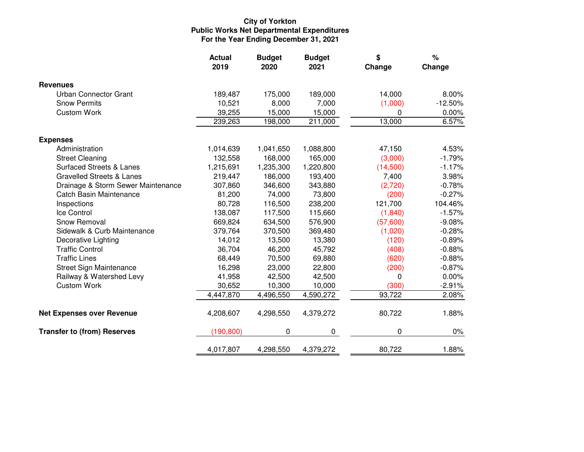# **City of YorktonPublic Works Net Departmental Expenditures For the Year Ending December 31, 2021**

|                                      | <b>Actual</b><br>2019 | <b>Budget</b><br>2020 | <b>Budget</b><br>2021 | \$<br>Change | $\%$<br>Change |
|--------------------------------------|-----------------------|-----------------------|-----------------------|--------------|----------------|
| <b>Revenues</b>                      |                       |                       |                       |              |                |
| Urban Connector Grant                | 189,487               | 175,000               | 189,000               | 14,000       | 8.00%          |
| <b>Snow Permits</b>                  | 10,521                | 8,000                 | 7,000                 | (1,000)      | $-12.50%$      |
| <b>Custom Work</b>                   | 39,255                | 15,000                | 15,000                | 0            | 0.00%          |
|                                      | 239,263               | 198,000               | 211,000               | 13,000       | 6.57%          |
| <b>Expenses</b>                      |                       |                       |                       |              |                |
| Administration                       | 1,014,639             | 1,041,650             | 1,088,800             | 47,150       | 4.53%          |
| <b>Street Cleaning</b>               | 132,558               | 168,000               | 165,000               | (3,000)      | $-1.79%$       |
| <b>Surfaced Streets &amp; Lanes</b>  | 1,215,691             | 1,235,300             | 1,220,800             | (14,500)     | $-1.17%$       |
| <b>Gravelled Streets &amp; Lanes</b> | 219,447               | 186,000               | 193,400               | 7,400        | 3.98%          |
| Drainage & Storm Sewer Maintenance   | 307,860               | 346,600               | 343,880               | (2,720)      | $-0.78%$       |
| <b>Catch Basin Maintenance</b>       | 81,200                | 74,000                | 73,800                | (200)        | $-0.27%$       |
| Inspections                          | 80,728                | 116,500               | 238,200               | 121,700      | 104.46%        |
| Ice Control                          | 138,087               | 117,500               | 115,660               | (1,840)      | $-1.57%$       |
| Snow Removal                         | 669,824               | 634,500               | 576,900               | (57,600)     | $-9.08%$       |
| Sidewalk & Curb Maintenance          | 379,764               | 370,500               | 369,480               | (1,020)      | $-0.28%$       |
| Decorative Lighting                  | 14,012                | 13,500                | 13,380                | (120)        | $-0.89%$       |
| <b>Traffic Control</b>               | 36,704                | 46,200                | 45,792                | (408)        | $-0.88%$       |
| <b>Traffic Lines</b>                 | 68,449                | 70,500                | 69,880                | (620)        | $-0.88%$       |
| Street Sign Maintenance              | 16,298                | 23,000                | 22,800                | (200)        | $-0.87%$       |
| Railway & Watershed Levy             | 41,958                | 42,500                | 42,500                | 0            | 0.00%          |
| <b>Custom Work</b>                   | 30,652                | 10,300                | 10,000                | (300)        | $-2.91%$       |
|                                      | 4,447,870             | 4,496,550             | 4,590,272             | 93,722       | 2.08%          |
| <b>Net Expenses over Revenue</b>     | 4,208,607             | 4,298,550             | 4,379,272             | 80,722       | 1.88%          |
| <b>Transfer to (from) Reserves</b>   | (190, 800)            | 0                     | 0                     | 0            | $0\%$          |
|                                      | 4,017,807             | 4,298,550             | 4,379,272             | 80,722       | 1.88%          |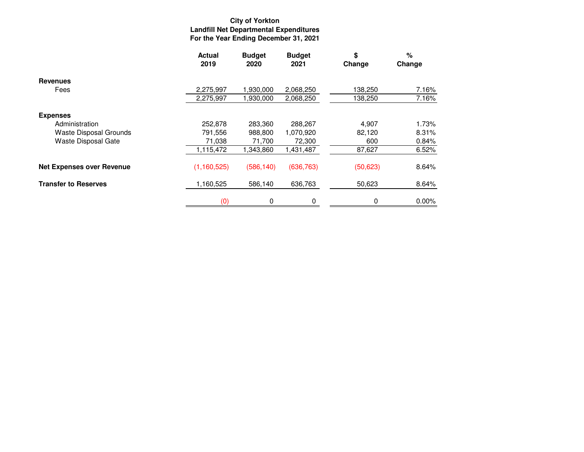# **City of YorktonLandfill Net Departmental Expenditures For the Year Ending December 31, 2021**

|                                  | <b>Actual</b><br>2019 | <b>Budget</b><br>2020 | <b>Budget</b><br>2021 | \$<br>Change | %<br>Change |
|----------------------------------|-----------------------|-----------------------|-----------------------|--------------|-------------|
| <b>Revenues</b>                  |                       |                       |                       |              |             |
| Fees                             | 2,275,997             | 1,930,000             | 2,068,250             | 138,250      | 7.16%       |
|                                  | 2,275,997             | 1,930,000             | 2,068,250             | 138,250      | 7.16%       |
| <b>Expenses</b>                  |                       |                       |                       |              |             |
| Administration                   | 252,878               | 283,360               | 288,267               | 4,907        | 1.73%       |
| <b>Waste Disposal Grounds</b>    | 791,556               | 988,800               | 1,070,920             | 82,120       | 8.31%       |
| Waste Disposal Gate              | 71,038                | 71,700                | 72,300                | 600          | 0.84%       |
|                                  | 1,115,472             | 1,343,860             | 1,431,487             | 87,627       | 6.52%       |
| <b>Net Expenses over Revenue</b> | (1, 160, 525)         | (586, 140)            | (636, 763)            | (50, 623)    | 8.64%       |
| <b>Transfer to Reserves</b>      | 1,160,525             | 586,140               | 636,763               | 50,623       | 8.64%       |
|                                  | (0)                   | 0                     | 0                     | 0            | 0.00%       |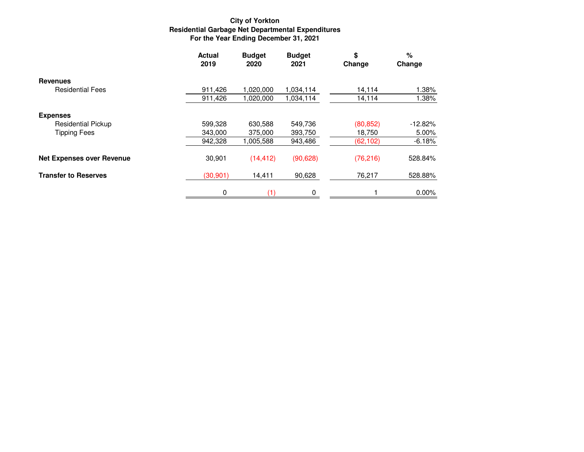# **City of YorktonResidential Garbage Net Departmental Expenditures For the Year Ending December 31, 2021**

|                                  | <b>Actual</b><br>2019 | <b>Budget</b><br>2020 | <b>Budget</b><br>2021 | \$<br>Change | %<br>Change |
|----------------------------------|-----------------------|-----------------------|-----------------------|--------------|-------------|
| <b>Revenues</b>                  |                       |                       |                       |              |             |
| <b>Residential Fees</b>          | 911,426               | 1,020,000             | 1,034,114             | 14,114       | 1.38%       |
|                                  | 911,426               | 1,020,000             | 1,034,114             | 14,114       | 1.38%       |
| <b>Expenses</b>                  |                       |                       |                       |              |             |
| <b>Residential Pickup</b>        | 599,328               | 630,588               | 549,736               | (80, 852)    | $-12.82%$   |
| <b>Tipping Fees</b>              | 343,000               | 375,000               | 393,750               | 18,750       | 5.00%       |
|                                  | 942,328               | 1,005,588             | 943,486               | (62,102)     | $-6.18%$    |
| <b>Net Expenses over Revenue</b> | 30,901                | (14, 412)             | (90, 628)             | (76, 216)    | 528.84%     |
| <b>Transfer to Reserves</b>      | (30, 901)             | 14,411                | 90,628                | 76,217       | 528.88%     |
|                                  | 0                     |                       | 0                     |              | 0.00%       |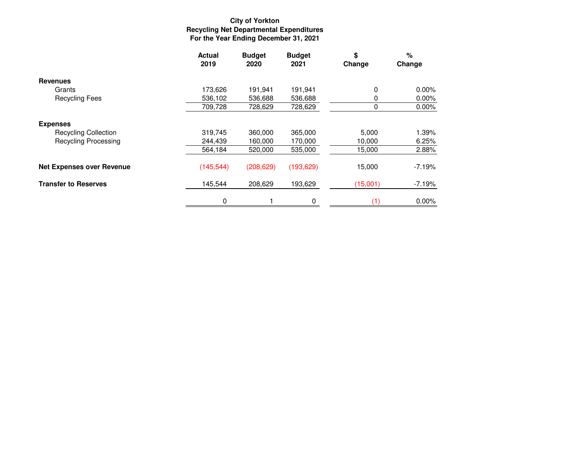# **City of YorktonRecycling Net Departmental Expenditures For the Year Ending December 31, 2021**

|                                  | <b>Actual</b><br>2019 | <b>Budget</b><br>2020 | <b>Budget</b><br>2021 | \$<br>Change | $\%$<br>Change |
|----------------------------------|-----------------------|-----------------------|-----------------------|--------------|----------------|
| <b>Revenues</b>                  |                       |                       |                       |              |                |
| Grants                           | 173,626               | 191,941               | 191,941               | 0            | $0.00\%$       |
| <b>Recycling Fees</b>            | 536,102               | 536,688               | 536,688               |              | 0.00%          |
|                                  | 709,728               | 728,629               | 728,629               | 0            | 0.00%          |
| <b>Expenses</b>                  |                       |                       |                       |              |                |
| <b>Recycling Collection</b>      | 319,745               | 360,000               | 365,000               | 5,000        | 1.39%          |
| <b>Recycling Processing</b>      | 244,439               | 160,000               | 170,000               | 10,000       | 6.25%          |
|                                  | 564,184               | 520,000               | 535,000               | 15,000       | 2.88%          |
| <b>Net Expenses over Revenue</b> | (145, 544)            | (208, 629)            | (193, 629)            | 15,000       | $-7.19%$       |
| <b>Transfer to Reserves</b>      | 145,544               | 208,629               | 193,629               | (15,001)     | $-7.19%$       |
|                                  | 0                     |                       | 0                     |              | 0.00%          |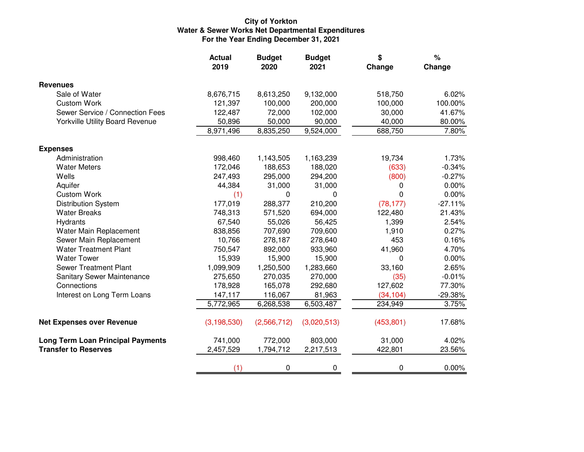# **City of YorktonWater & Sewer Works Net Departmental Expenditures For the Year Ending December 31, 2021**

|                                          | <b>Actual</b><br>2019 | <b>Budget</b><br>2020 | <b>Budget</b><br>2021 | \$<br>Change | %<br>Change |
|------------------------------------------|-----------------------|-----------------------|-----------------------|--------------|-------------|
| <b>Revenues</b>                          |                       |                       |                       |              |             |
| Sale of Water                            | 8,676,715             | 8,613,250             | 9,132,000             | 518,750      | 6.02%       |
| <b>Custom Work</b>                       | 121,397               | 100,000               | 200,000               | 100,000      | 100.00%     |
| Sewer Service / Connection Fees          | 122,487               | 72,000                | 102,000               | 30,000       | 41.67%      |
| Yorkville Utility Board Revenue          | 50,896                | 50,000                | 90,000                | 40,000       | 80.00%      |
|                                          | 8,971,496             | 8,835,250             | 9,524,000             | 688,750      | 7.80%       |
| <b>Expenses</b>                          |                       |                       |                       |              |             |
| Administration                           | 998,460               | 1,143,505             | 1,163,239             | 19,734       | 1.73%       |
| <b>Water Meters</b>                      | 172,046               | 188,653               | 188,020               | (633)        | $-0.34%$    |
| Wells                                    | 247,493               | 295,000               | 294,200               | (800)        | $-0.27%$    |
| Aquifer                                  | 44,384                | 31,000                | 31,000                | 0            | 0.00%       |
| <b>Custom Work</b>                       | (1)                   | 0                     | 0                     | 0            | 0.00%       |
| <b>Distribution System</b>               | 177,019               | 288,377               | 210,200               | (78, 177)    | $-27.11%$   |
| <b>Water Breaks</b>                      | 748,313               | 571,520               | 694,000               | 122,480      | 21.43%      |
| Hydrants                                 | 67,540                | 55,026                | 56,425                | 1,399        | 2.54%       |
| Water Main Replacement                   | 838,856               | 707,690               | 709,600               | 1,910        | 0.27%       |
| Sewer Main Replacement                   | 10,766                | 278,187               | 278,640               | 453          | 0.16%       |
| <b>Water Treatment Plant</b>             | 750,547               | 892,000               | 933,960               | 41,960       | 4.70%       |
| <b>Water Tower</b>                       | 15,939                | 15,900                | 15,900                | 0            | 0.00%       |
| <b>Sewer Treatment Plant</b>             | 1,099,909             | 1,250,500             | 1,283,660             | 33,160       | 2.65%       |
| Sanitary Sewer Maintenance               | 275,650               | 270,035               | 270,000               | (35)         | $-0.01%$    |
| Connections                              | 178,928               | 165,078               | 292,680               | 127,602      | 77.30%      |
| Interest on Long Term Loans              | 147,117               | 116,067               | 81,963                | (34, 104)    | $-29.38%$   |
|                                          | 5,772,965             | 6,268,538             | 6,503,487             | 234,949      | 3.75%       |
| <b>Net Expenses over Revenue</b>         | (3, 198, 530)         | (2,566,712)           | (3,020,513)           | (453, 801)   | 17.68%      |
| <b>Long Term Loan Principal Payments</b> | 741,000               | 772,000               | 803,000               | 31,000       | 4.02%       |
| <b>Transfer to Reserves</b>              | 2,457,529             | 1,794,712             | 2,217,513             | 422,801      | 23.56%      |
|                                          | (1)                   | 0                     | 0                     | 0            | 0.00%       |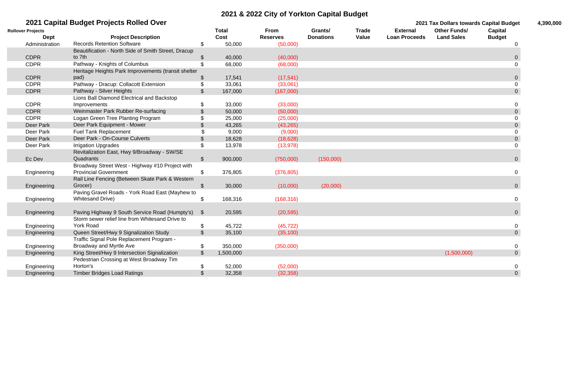|                          | 2021 Capital Budget Projects Rolled Over            |                            |              |                 |                  |              |                      | 2021 Tax Dollars towards Capital Budget |                | 4,390,000 |
|--------------------------|-----------------------------------------------------|----------------------------|--------------|-----------------|------------------|--------------|----------------------|-----------------------------------------|----------------|-----------|
| <b>Rollover Projects</b> |                                                     |                            | <b>Total</b> | From            | Grants/          | <b>Trade</b> | <b>External</b>      | <b>Other Funds/</b>                     | <b>Capital</b> |           |
| <b>Dept</b>              | <b>Project Description</b>                          |                            | Cost         | <b>Reserves</b> | <b>Donations</b> | <b>Value</b> | <b>Loan Proceeds</b> | <b>Land Sales</b>                       | <b>Budget</b>  |           |
| Administration           | <b>Records Retention Software</b>                   | \$                         | 50,000       | (50,000)        |                  |              |                      |                                         |                |           |
|                          | Beautification - North Side of Smith Street, Dracup |                            |              |                 |                  |              |                      |                                         |                |           |
| <b>CDPR</b>              | to 7th                                              | \$                         | 40,000       | (40,000)        |                  |              |                      |                                         |                |           |
| <b>CDPR</b>              | Pathway - Knights of Columbus                       |                            | 68,000       | (68,000)        |                  |              |                      |                                         |                |           |
|                          | Heritage Heights Park Improvements (transit shelter |                            |              |                 |                  |              |                      |                                         |                |           |
| <b>CDPR</b>              | pad)                                                | $\mathfrak{F}$             | 17,541       | (17, 541)       |                  |              |                      |                                         |                |           |
| <b>CDPR</b>              | Pathway - Dracup: Collacott Extension               | $\boldsymbol{\mathsf{\$}}$ | 33,061       | (33,061)        |                  |              |                      |                                         |                |           |
| <b>CDPR</b>              | Pathway - Silver Heights                            | \$                         | 167,000      | (167,000)       |                  |              |                      |                                         | $\overline{0}$ |           |
|                          | Lions Ball Diamond Electrical and Backstop          |                            |              |                 |                  |              |                      |                                         |                |           |
| <b>CDPR</b>              | Improvements                                        | \$                         | 33,000       | (33,000)        |                  |              |                      |                                         |                |           |
| <b>CDPR</b>              | Weinmaster Park Rubber Re-surfacing                 |                            | 50,000       | (50,000)        |                  |              |                      |                                         | $\overline{0}$ |           |
| <b>CDPR</b>              | Logan Green Tree Planting Program                   |                            | 25,000       | (25,000)        |                  |              |                      |                                         |                |           |
| Deer Park                | Deer Park Equipment - Mower                         |                            | 43,265       | (43, 265)       |                  |              |                      |                                         |                |           |
| Deer Park                | <b>Fuel Tank Replacement</b>                        |                            | 9,000        | (9,000)         |                  |              |                      |                                         |                |           |
| Deer Park                | Deer Park - On-Course Culverts                      | \$                         | 18,628       | (18, 628)       |                  |              |                      |                                         |                |           |
| Deer Park                | <b>Irrigation Upgrades</b>                          | \$                         | 13,978       | (13, 978)       |                  |              |                      |                                         |                |           |
|                          | Revitalization East, Hwy 9/Broadway - SW/SE         |                            |              |                 |                  |              |                      |                                         |                |           |
| Ec Dev                   | Quadrants                                           | $\boldsymbol{\mathsf{S}}$  | 900,000      | (750,000)       | (150,000)        |              |                      |                                         |                |           |
|                          | Broadway Street West - Highway #10 Project with     |                            |              |                 |                  |              |                      |                                         |                |           |
| Engineering              | <b>Provincial Government</b>                        |                            | 376,805      | (376, 805)      |                  |              |                      |                                         |                |           |
|                          | Rail Line Fencing (Between Skate Park & Western     |                            |              |                 |                  |              |                      |                                         |                |           |
| Engineering              | Grocer)                                             | $\mathcal{L}$              | 30,000       | (10,000)        | (20,000)         |              |                      |                                         |                |           |
|                          | Paving Gravel Roads - York Road East (Mayhew to     |                            |              |                 |                  |              |                      |                                         |                |           |
| Engineering              | <b>Whitesand Drive)</b>                             | $\boldsymbol{\mathsf{\$}}$ | 168,316      | (168, 316)      |                  |              |                      |                                         |                |           |
|                          |                                                     |                            |              |                 |                  |              |                      |                                         |                |           |
| Engineering              | Paving Highway 9 South Service Road (Humpty's)      | $\mathfrak{F}$             | 20,595       | (20, 595)       |                  |              |                      |                                         |                |           |
|                          | Storm sewer relief line from Whitesand Drive to     |                            |              |                 |                  |              |                      |                                         |                |           |
| Engineering              | <b>York Road</b>                                    |                            | 45,722       | (45, 722)       |                  |              |                      |                                         |                |           |
| Engineering              | Queen Street/Hwy 9 Signalization Study              | \$                         | 35,100       | (35, 100)       |                  |              |                      |                                         | $\overline{0}$ |           |
|                          | Traffic Signal Pole Replacement Program -           |                            |              |                 |                  |              |                      |                                         |                |           |
| Engineering              | Broadway and Myrtle Ave                             | \$                         | 350,000      | (350,000)       |                  |              |                      |                                         | $\overline{0}$ |           |
| Engineering              | King Street/Hwy 9 Intersection Signalization        | $\sqrt{2}$                 | 1,500,000    |                 |                  |              |                      | (1,500,000)                             | $\overline{0}$ |           |
|                          | Pedestrian Crossing at West Broadway Tim            |                            |              |                 |                  |              |                      |                                         |                |           |
| Engineering              | Horton's                                            | \$                         | 52,000       | (52,000)        |                  |              |                      |                                         |                |           |
| Engineering              | <b>Timber Bridges Load Ratings</b>                  | $\frac{1}{2}$              | 32,358       | (32, 358)       |                  |              |                      |                                         | $\overline{0}$ |           |

| 4,390,000 |  |  |
|-----------|--|--|
|           |  |  |

# **2021 & 2022 City of Yorkton Capital Budget**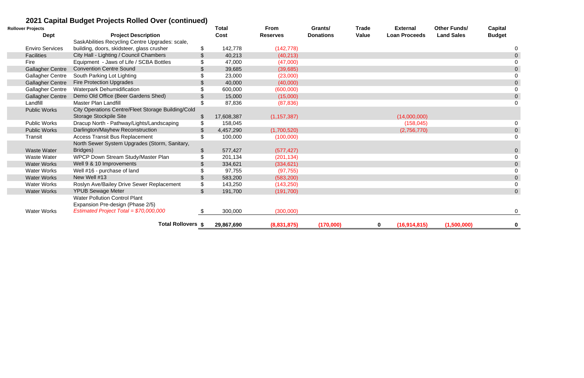# **2021 Capital Budget Projects Rolled Over (continued)**

| <b>Rollover Projects</b> | <u>ZUZT GADILAI DUUYEL I TUJECLS KUITEU OVEI (CONTINUEU)</u> |                           | <b>Total</b> | <b>From</b>     | Grants/          | <b>Trade</b> | <b>External</b>               | <b>Other Funds/</b> | <b>Capital</b> |                |
|--------------------------|--------------------------------------------------------------|---------------------------|--------------|-----------------|------------------|--------------|-------------------------------|---------------------|----------------|----------------|
| <b>Dept</b>              | <b>Project Description</b>                                   |                           | Cost         | <b>Reserves</b> | <b>Donations</b> | <b>Value</b> | <b>Loan Proceeds</b>          | <b>Land Sales</b>   | <b>Budget</b>  |                |
|                          | SaskAbilities Recycling Centre Upgrades: scale,              |                           |              |                 |                  |              |                               |                     |                |                |
| <b>Enviro Services</b>   | building, doors, skidsteer, glass crusher                    | \$                        | 142,778      | (142, 778)      |                  |              |                               |                     |                |                |
| <b>Facilities</b>        | City Hall - Lighting / Council Chambers                      | \$                        | 40,213       | (40, 213)       |                  |              |                               |                     |                | $\overline{0}$ |
| Fire                     | Equipment - Jaws of Life / SCBA Bottles                      |                           | 47,000       | (47,000)        |                  |              |                               |                     |                |                |
| <b>Gallagher Centre</b>  | <b>Convention Centre Sound</b>                               |                           | 39,685       | (39,685)        |                  |              |                               |                     |                | $\overline{0}$ |
| <b>Gallagher Centre</b>  | South Parking Lot Lighting                                   |                           | 23,000       | (23,000)        |                  |              |                               |                     |                |                |
| <b>Gallagher Centre</b>  | <b>Fire Protection Upgrades</b>                              |                           | 40,000       | (40,000)        |                  |              |                               |                     |                | $\overline{0}$ |
| <b>Gallagher Centre</b>  | <b>Waterpark Dehumidification</b>                            |                           | 600,000      | (600,000)       |                  |              |                               |                     |                | $\Omega$       |
| <b>Gallagher Centre</b>  | Demo Old Office (Beer Gardens Shed)                          |                           | 15,000       | (15,000)        |                  |              |                               |                     |                | $\overline{0}$ |
| Landfill                 | <b>Master Plan Landfill</b>                                  |                           | 87,836       | (87, 836)       |                  |              |                               |                     |                | 0              |
| <b>Public Works</b>      | City Operations Centre/Fleet Storage Building/Cold           |                           |              |                 |                  |              |                               |                     |                |                |
|                          | <b>Storage Stockpile Site</b>                                |                           | 17,608,387   | (1, 157, 387)   |                  |              | (14,000,000)                  |                     |                |                |
| <b>Public Works</b>      | Dracup North - Pathway/Lights/Landscaping                    |                           | 158,045      |                 |                  |              | (158, 045)                    |                     |                |                |
| <b>Public Works</b>      | Darlington/Mayhew Reconstruction                             |                           | 4,457,290    | (1,700,520)     |                  |              | (2,756,770)                   |                     |                | $\overline{0}$ |
| Transit                  | <b>Access Transit Bus Replacement</b>                        | \$                        | 100,000      | (100,000)       |                  |              |                               |                     |                | $\overline{0}$ |
|                          | North Sewer System Upgrades (Storm, Sanitary,                |                           |              |                 |                  |              |                               |                     |                |                |
| <b>Waste Water</b>       | Bridges)                                                     | $\boldsymbol{\mathsf{S}}$ | 577,427      | (577, 427)      |                  |              |                               |                     |                | $\overline{0}$ |
| <b>Waste Water</b>       | WPCP Down Stream Study/Master Plan                           |                           | 201,134      | (201, 134)      |                  |              |                               |                     |                | $\Omega$       |
| <b>Water Works</b>       | Well 9 & 10 Improvements                                     |                           | 334,621      | (334, 621)      |                  |              |                               |                     |                | $\overline{0}$ |
| <b>Water Works</b>       | Well #16 - purchase of land                                  |                           | 97,755       | (97, 755)       |                  |              |                               |                     |                | $\Omega$       |
| <b>Water Works</b>       | New Well #13                                                 | $\boldsymbol{\mathsf{S}}$ | 583,200      | (583, 200)      |                  |              |                               |                     |                | $\overline{0}$ |
| <b>Water Works</b>       | Roslyn Ave/Bailey Drive Sewer Replacement                    | \$                        | 143,250      | (143, 250)      |                  |              |                               |                     |                | $\Omega$       |
| <b>Water Works</b>       | <b>YPUB Sewage Meter</b>                                     | $\sqrt[6]{\frac{1}{2}}$   | 191,700      | (191, 700)      |                  |              |                               |                     |                | $\overline{0}$ |
|                          | <b>Water Pollution Control Plant</b>                         |                           |              |                 |                  |              |                               |                     |                |                |
|                          | Expansion Pre-design (Phase 2/5)                             |                           |              |                 |                  |              |                               |                     |                |                |
| <b>Water Works</b>       | Estimated Project Total = \$70,000,000                       |                           | 300,000      | (300,000)       |                  |              |                               |                     |                | $\overline{0}$ |
|                          | <b>Total Rollovers \$</b>                                    |                           | 29,867,690   | (8,831,875)     | (170,000)        |              | (16, 914, 815)<br>$\mathbf 0$ | (1,500,000)         |                | $\mathbf 0$    |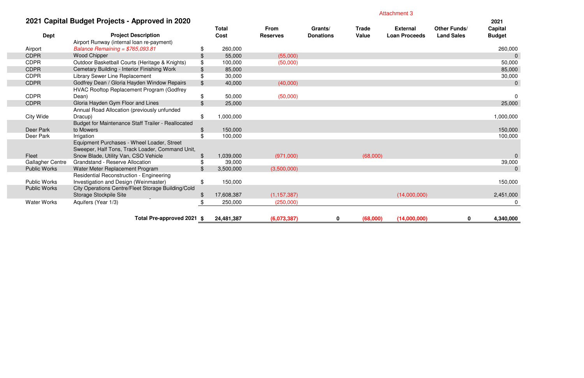# **2021 Capital Budget Projects - Approved in 2020**

|                         | 2021 Capital Budget Projects - Approved in 2020    |                |              |                 |                  |              |                      |                     | 2021           |
|-------------------------|----------------------------------------------------|----------------|--------------|-----------------|------------------|--------------|----------------------|---------------------|----------------|
|                         |                                                    |                | <b>Total</b> | From            | Grants/          | <b>Trade</b> | <b>External</b>      | <b>Other Funds/</b> | <b>Capital</b> |
| <b>Dept</b>             | <b>Project Description</b>                         |                | Cost         | <b>Reserves</b> | <b>Donations</b> | Value        | <b>Loan Proceeds</b> | <b>Land Sales</b>   | <b>Budget</b>  |
|                         | Airport Runway (internal loan re-payment)          |                |              |                 |                  |              |                      |                     |                |
| Airport                 | Balance Remaining = $$765,093.81$                  | \$             | 260,000      |                 |                  |              |                      |                     | 260,000        |
| <b>CDPR</b>             | <b>Wood Chipper</b>                                | \$             | 55,000       | (55,000)        |                  |              |                      |                     | $\Omega$       |
| <b>CDPR</b>             | Outdoor Basketball Courts (Heritage & Knights)     | \$             | 100,000      | (50,000)        |                  |              |                      |                     | 50,000         |
| <b>CDPR</b>             | Cemetary Building - Interior Finishing Work        | \$             | 85,000       |                 |                  |              |                      |                     | 85,000         |
| <b>CDPR</b>             | <b>Library Sewer Line Replacement</b>              | \$             | 30,000       |                 |                  |              |                      |                     | 30,000         |
| <b>CDPR</b>             | Godfrey Dean / Gloria Hayden Window Repairs        | $\frac{1}{2}$  | 40,000       | (40,000)        |                  |              |                      |                     | $\overline{0}$ |
|                         | <b>HVAC Rooftop Replacement Program (Godfrey</b>   |                |              |                 |                  |              |                      |                     |                |
| <b>CDPR</b>             | Dean)                                              | \$             | 50,000       | (50,000)        |                  |              |                      |                     | $\overline{0}$ |
| <b>CDPR</b>             | Gloria Hayden Gym Floor and Lines                  | $\mathcal{L}$  | 25,000       |                 |                  |              |                      |                     | 25,000         |
|                         | Annual Road Allocation (previously unfunded        |                |              |                 |                  |              |                      |                     |                |
| City Wide               | Dracup)                                            | $\mathfrak{F}$ | 1,000,000    |                 |                  |              |                      |                     | 1,000,000      |
|                         | Budget for Maintenance Staff Trailer - Reallocated |                |              |                 |                  |              |                      |                     |                |
| Deer Park               | to Mowers                                          | $\frac{1}{2}$  | 150,000      |                 |                  |              |                      |                     | 150,000        |
| Deer Park               | Irrigation                                         | \$             | 100,000      |                 |                  |              |                      |                     | 100,000        |
|                         | Equipment Purchases - Wheel Loader, Street         |                |              |                 |                  |              |                      |                     |                |
|                         | Sweeper, Half Tons, Track Loader, Command Unit,    |                |              |                 |                  |              |                      |                     |                |
| Fleet                   | Snow Blade, Utility Van, CSO Vehicle               |                | 1,039,000    | (971,000)       |                  | (68,000)     |                      |                     | $\overline{0}$ |
| <b>Gallagher Centre</b> | Grandstand - Reserve Allocation                    | \$             | 39,000       |                 |                  |              |                      |                     | 39,000         |
| <b>Public Works</b>     | Water Meter Replacement Program                    | \$             | 3,500,000    | (3,500,000)     |                  |              |                      |                     | $\Omega$       |
|                         | <b>Residential Reconstruction - Engineering</b>    |                |              |                 |                  |              |                      |                     |                |
| <b>Public Works</b>     | Investigation and Design (Weinmaster)              | \$             | 150,000      |                 |                  |              |                      |                     | 150,000        |
| <b>Public Works</b>     | City Operations Centre/Fleet Storage Building/Cold |                |              |                 |                  |              |                      |                     |                |
|                         | <b>Storage Stockpile Site</b>                      | $\frac{1}{2}$  | 17,608,387   | (1, 157, 387)   |                  |              | (14,000,000)         |                     | 2,451,000      |
| <b>Water Works</b>      | Aquifers (Year 1/3)                                | \$             | 250,000      | (250,000)       |                  |              |                      |                     | $\mathbf 0$    |
|                         | Total Pre-approved 2021 \$                         |                | 24,481,387   | (6,073,387)     | $\mathbf 0$      | (68,000)     | (14,000,000)         | 0                   | 4,340,000      |

| <b>Attachment 3</b> |  |  |  |  |  |  |  |
|---------------------|--|--|--|--|--|--|--|
|---------------------|--|--|--|--|--|--|--|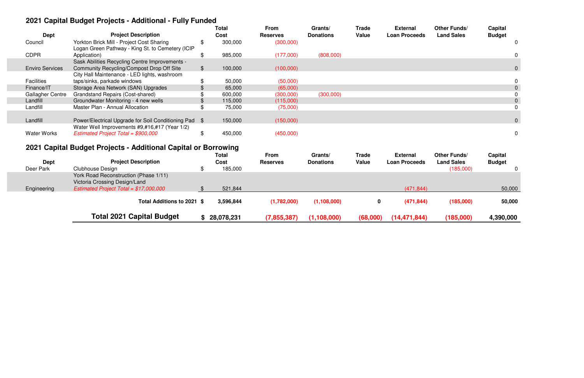# **2021 Capital Budget Projects - Additional - Fully Funded**

 $\mathbb{R}^n$ 

| <b>Dept</b>             | <b>Project Description</b>                                                                    |       | <b>Total</b><br>Cost | <b>From</b><br><b>Reserves</b> | Grants/<br><b>Donations</b> | Trade<br><b>Value</b> | <b>External</b><br><b>Loan Proceeds</b> | <b>Other Funds/</b><br><b>Land Sales</b> | <b>Capital</b><br><b>Budget</b> |  |
|-------------------------|-----------------------------------------------------------------------------------------------|-------|----------------------|--------------------------------|-----------------------------|-----------------------|-----------------------------------------|------------------------------------------|---------------------------------|--|
| Council                 | Yorkton Brick Mill - Project Cost Sharing<br>Logan Green Pathway - King St. to Cemetery (ICIP |       | 300,000              | (300,000)                      |                             |                       |                                         |                                          |                                 |  |
| <b>CDPR</b>             | Application)                                                                                  | \$    | 985,000              | (177,000)                      | (808,000)                   |                       |                                         |                                          |                                 |  |
|                         | Sask Abilities Recycling Centre Improvements -                                                |       |                      |                                |                             |                       |                                         |                                          |                                 |  |
| <b>Enviro Services</b>  | <b>Community Recycling/Compost Drop Off Site</b>                                              | $\$\$ | 100,000              | (100,000)                      |                             |                       |                                         |                                          |                                 |  |
|                         | City Hall Maintenance - LED lights, washroom                                                  |       |                      |                                |                             |                       |                                         |                                          |                                 |  |
| <b>Facilities</b>       | taps/sinks, parkade windows                                                                   |       | 50,000               | (50,000)                       |                             |                       |                                         |                                          |                                 |  |
| Finance/IT              | Storage Area Network (SAN) Upgrades                                                           |       | 65,000               | (65,000)                       |                             |                       |                                         |                                          |                                 |  |
| <b>Gallagher Centre</b> | Grandstand Repairs (Cost-shared)                                                              |       | 600,000              | (300,000)                      | (300,000)                   |                       |                                         |                                          |                                 |  |
| Landfill                | Groundwater Monitoring - 4 new wells                                                          |       | 115,000              | (115,000)                      |                             |                       |                                         |                                          |                                 |  |
| Landfill                | Master Plan - Annual Allocation                                                               |       | 75,000               | (75,000)                       |                             |                       |                                         |                                          |                                 |  |
|                         |                                                                                               |       |                      |                                |                             |                       |                                         |                                          |                                 |  |
| Landfill                | Power/Electrical Upgrade for Soil Conditioning Pad \$                                         |       | 150,000              | (150,000)                      |                             |                       |                                         |                                          |                                 |  |
|                         | Water Well Improvements #9,#16,#17 (Year 1/2)                                                 |       |                      |                                |                             |                       |                                         |                                          |                                 |  |
| <b>Water Works</b>      | Estimated Project Total = \$900,000                                                           |       | 450,000              | (450,000)                      |                             |                       |                                         |                                          |                                 |  |
|                         |                                                                                               |       |                      |                                |                             |                       |                                         |                                          |                                 |  |

# **2021 Capital Budget Projects - Additional Capital or Borrowing**

| <b>Dept</b><br>Deer Park | ÷<br><b>Project Description</b><br>Clubhouse Design                                                               | ັ<br><b>Total</b><br>Cost<br>185,000 | From<br><b>Reserves</b> | Grants/<br><b>Donations</b> | <b>Trade</b><br>Value | <b>External</b><br><b>Loan Proceeds</b> | <b>Other Funds/</b><br><b>Land Sales</b><br>(185,000) | Capital<br><b>Budget</b><br>0 |
|--------------------------|-------------------------------------------------------------------------------------------------------------------|--------------------------------------|-------------------------|-----------------------------|-----------------------|-----------------------------------------|-------------------------------------------------------|-------------------------------|
| Engineering              | York Road Reconstruction (Phase 1/11)<br>Victoria Crossing Design/Land<br>Estimated Project Total = $$17,000,000$ | 521,844                              |                         |                             |                       | (471, 844)                              |                                                       | 50,000                        |
|                          | Total Additions to 2021 \$                                                                                        | 3,596,844                            | (1,782,000)             | (1, 108, 000)               | 0                     | (471, 844)                              | (185,000)                                             | 50,000                        |
|                          | <b>Total 2021 Capital Budget</b>                                                                                  | 28,078,231                           | (7, 855, 387)           | (1, 108, 000)               | (68,000)              | (14, 471, 844)                          | (185,000)                                             | 4,390,000                     |

| Other Funds/<br><b>Land Sales</b> | <b>Capital</b><br><b>Budget</b> |                                  |
|-----------------------------------|---------------------------------|----------------------------------|
|                                   |                                 | 0                                |
|                                   |                                 | 0                                |
|                                   |                                 | 0                                |
|                                   |                                 | 0                                |
|                                   |                                 | $\overline{0}$                   |
|                                   |                                 | $\begin{matrix}0\\0\end{matrix}$ |
|                                   |                                 |                                  |
|                                   |                                 | $\overline{0}$                   |
|                                   |                                 | $\overline{0}$                   |
|                                   |                                 |                                  |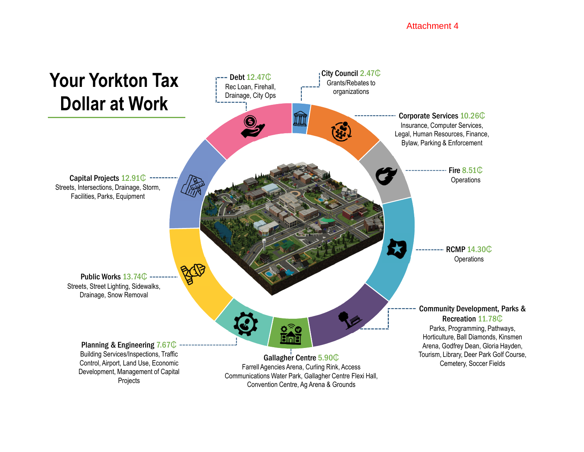#### Attachment 4

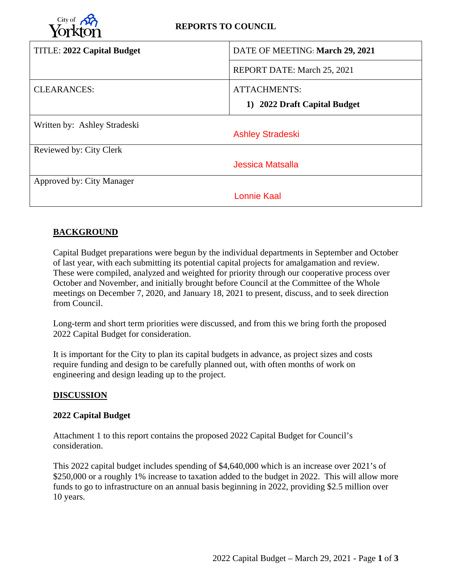

| <b>TITLE: 2022 Capital Budget</b> | DATE OF MEETING: March 29, 2021 |  |  |  |  |  |  |
|-----------------------------------|---------------------------------|--|--|--|--|--|--|
|                                   | REPORT DATE: March 25, 2021     |  |  |  |  |  |  |
| <b>CLEARANCES:</b>                | ATTACHMENTS:                    |  |  |  |  |  |  |
|                                   | 1) 2022 Draft Capital Budget    |  |  |  |  |  |  |
| Written by: Ashley Stradeski      |                                 |  |  |  |  |  |  |
|                                   | <b>Ashley Stradeski</b>         |  |  |  |  |  |  |
| Reviewed by: City Clerk           |                                 |  |  |  |  |  |  |
|                                   | Jessica Matsalla                |  |  |  |  |  |  |
| Approved by: City Manager         |                                 |  |  |  |  |  |  |
|                                   | Lonnie Kaal                     |  |  |  |  |  |  |

# **BACKGROUND**

Capital Budget preparations were begun by the individual departments in September and October of last year, with each submitting its potential capital projects for amalgamation and review. These were compiled, analyzed and weighted for priority through our cooperative process over October and November, and initially brought before Council at the Committee of the Whole meetings on December 7, 2020, and January 18, 2021 to present, discuss, and to seek direction from Council.

Long-term and short term priorities were discussed, and from this we bring forth the proposed 2022 Capital Budget for consideration.

It is important for the City to plan its capital budgets in advance, as project sizes and costs require funding and design to be carefully planned out, with often months of work on engineering and design leading up to the project.

#### **DISCUSSION**

#### **2022 Capital Budget**

Attachment 1 to this report contains the proposed 2022 Capital Budget for Council's consideration.

This 2022 capital budget includes spending of \$4,640,000 which is an increase over 2021's of \$250,000 or a roughly 1% increase to taxation added to the budget in 2022. This will allow more funds to go to infrastructure on an annual basis beginning in 2022, providing \$2.5 million over 10 years.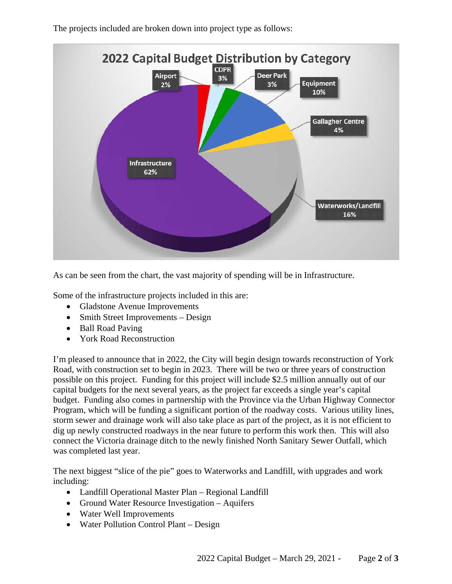The projects included are broken down into project type as follows:



As can be seen from the chart, the vast majority of spending will be in Infrastructure.

Some of the infrastructure projects included in this are:

- Gladstone Avenue Improvements
- Smith Street Improvements Design
- Ball Road Paving
- York Road Reconstruction

I'm pleased to announce that in 2022, the City will begin design towards reconstruction of York Road, with construction set to begin in 2023. There will be two or three years of construction possible on this project. Funding for this project will include \$2.5 million annually out of our capital budgets for the next several years, as the project far exceeds a single year's capital budget. Funding also comes in partnership with the Province via the Urban Highway Connector Program, which will be funding a significant portion of the roadway costs. Various utility lines, storm sewer and drainage work will also take place as part of the project, as it is not efficient to dig up newly constructed roadways in the near future to perform this work then. This will also connect the Victoria drainage ditch to the newly finished North Sanitary Sewer Outfall, which was completed last year.

The next biggest "slice of the pie" goes to Waterworks and Landfill, with upgrades and work including:

- Landfill Operational Master Plan Regional Landfill
- Ground Water Resource Investigation Aquifers
- Water Well Improvements
- Water Pollution Control Plant Design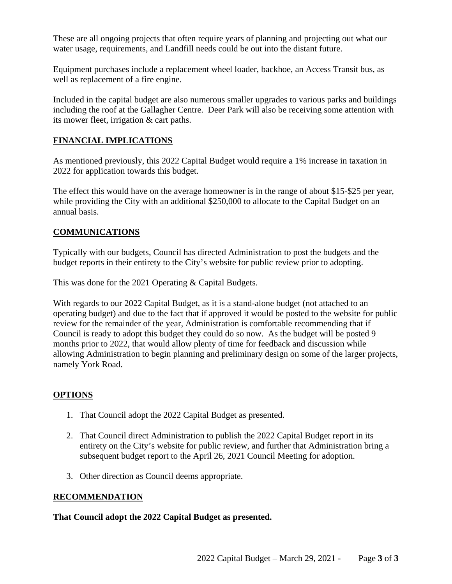These are all ongoing projects that often require years of planning and projecting out what our water usage, requirements, and Landfill needs could be out into the distant future.

Equipment purchases include a replacement wheel loader, backhoe, an Access Transit bus, as well as replacement of a fire engine.

Included in the capital budget are also numerous smaller upgrades to various parks and buildings including the roof at the Gallagher Centre. Deer Park will also be receiving some attention with its mower fleet, irrigation & cart paths.

## **FINANCIAL IMPLICATIONS**

As mentioned previously, this 2022 Capital Budget would require a 1% increase in taxation in 2022 for application towards this budget.

The effect this would have on the average homeowner is in the range of about \$15-\$25 per year, while providing the City with an additional \$250,000 to allocate to the Capital Budget on an annual basis.

## **COMMUNICATIONS**

Typically with our budgets, Council has directed Administration to post the budgets and the budget reports in their entirety to the City's website for public review prior to adopting.

This was done for the 2021 Operating & Capital Budgets.

With regards to our 2022 Capital Budget, as it is a stand-alone budget (not attached to an operating budget) and due to the fact that if approved it would be posted to the website for public review for the remainder of the year, Administration is comfortable recommending that if Council is ready to adopt this budget they could do so now. As the budget will be posted 9 months prior to 2022, that would allow plenty of time for feedback and discussion while allowing Administration to begin planning and preliminary design on some of the larger projects, namely York Road.

#### **OPTIONS**

- 1. That Council adopt the 2022 Capital Budget as presented.
- 2. That Council direct Administration to publish the 2022 Capital Budget report in its entirety on the City's website for public review, and further that Administration bring a subsequent budget report to the April 26, 2021 Council Meeting for adoption.
- 3. Other direction as Council deems appropriate.

#### **RECOMMENDATION**

#### **That Council adopt the 2022 Capital Budget as presented.**